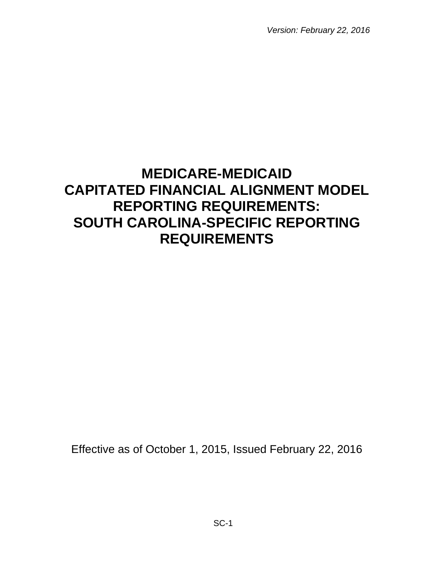*Version: February 22, 2016*

# **MEDICARE-MEDICAID CAPITATED FINANCIAL ALIGNMENT MODEL REPORTING REQUIREMENTS: SOUTH CAROLINA-SPECIFIC REPORTING REQUIREMENTS**

Effective as of October 1, 2015, Issued February 22, 2016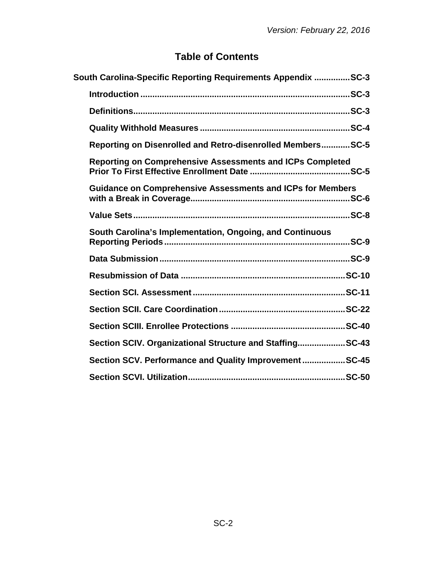# **Table of Contents**

| South Carolina-Specific Reporting Requirements Appendix SC-3      |  |
|-------------------------------------------------------------------|--|
|                                                                   |  |
|                                                                   |  |
|                                                                   |  |
| Reporting on Disenrolled and Retro-disenrolled MembersSC-5        |  |
| <b>Reporting on Comprehensive Assessments and ICPs Completed</b>  |  |
| <b>Guidance on Comprehensive Assessments and ICPs for Members</b> |  |
|                                                                   |  |
| South Carolina's Implementation, Ongoing, and Continuous          |  |
|                                                                   |  |
|                                                                   |  |
|                                                                   |  |
|                                                                   |  |
|                                                                   |  |
| Section SCIV. Organizational Structure and StaffingSC-43          |  |
| Section SCV. Performance and Quality ImprovementSC-45             |  |
|                                                                   |  |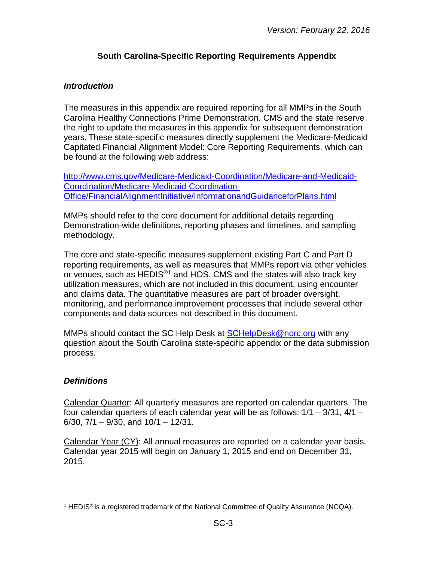#### **South Carolina-Specific Reporting Requirements Appendix**

#### <span id="page-2-1"></span><span id="page-2-0"></span>*Introduction*

The measures in this appendix are required reporting for all MMPs in the South Carolina Healthy Connections Prime Demonstration. CMS and the state reserve the right to update the measures in this appendix for subsequent demonstration years. These state-specific measures directly supplement the Medicare-Medicaid Capitated Financial Alignment Model: Core Reporting Requirements, which can be found at the following web address:

[http://www.cms.gov/Medicare-Medicaid-Coordination/Medicare-and-Medicaid-](http://www.cms.gov/Medicare-Medicaid-Coordination/Medicare-and-Medicaid-Coordination/Medicare-Medicaid-Coordination-Office/FinancialAlignmentInitiative/InformationandGuidanceforPlans.html)[Coordination/Medicare-Medicaid-Coordination-](http://www.cms.gov/Medicare-Medicaid-Coordination/Medicare-and-Medicaid-Coordination/Medicare-Medicaid-Coordination-Office/FinancialAlignmentInitiative/InformationandGuidanceforPlans.html)[Office/FinancialAlignmentInitiative/InformationandGuidanceforPlans.html](http://www.cms.gov/Medicare-Medicaid-Coordination/Medicare-and-Medicaid-Coordination/Medicare-Medicaid-Coordination-Office/FinancialAlignmentInitiative/InformationandGuidanceforPlans.html)

MMPs should refer to the core document for additional details regarding Demonstration-wide definitions, reporting phases and timelines, and sampling methodology.

The core and state-specific measures supplement existing Part C and Part D reporting requirements, as well as measures that MMPs report via other vehicles or venues, such as HEDIS<sup>®[1](#page-2-3)</sup> and HOS. CMS and the states will also track key utilization measures, which are not included in this document, using encounter and claims data. The quantitative measures are part of broader oversight, monitoring, and performance improvement processes that include several other components and data sources not described in this document.

MMPs should contact the SC Help Desk at [SCHelpDesk@norc.org](mailto:SCHelpDesk@norc.org) with any question about the South Carolina state-specific appendix or the data submission process.

#### <span id="page-2-2"></span>*Definitions*

Calendar Quarter: All quarterly measures are reported on calendar quarters. The four calendar quarters of each calendar year will be as follows: 1/1 – 3/31, 4/1 –  $6/30$ ,  $7/1 - 9/30$ , and  $10/1 - 12/31$ .

Calendar Year (CY): All annual measures are reported on a calendar year basis. Calendar year 2015 will begin on January 1, 2015 and end on December 31, 2015.

<span id="page-2-3"></span><sup>&</sup>lt;sup>1</sup> HEDIS<sup>®</sup> is a registered trademark of the National Committee of Quality Assurance (NCQA).  $\overline{a}$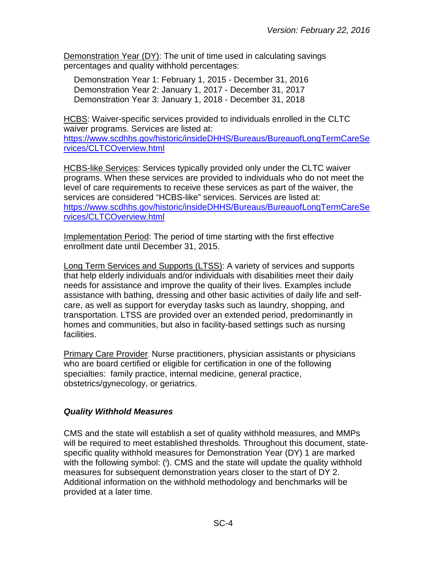Demonstration Year (DY): The unit of time used in calculating savings percentages and quality withhold percentages:

Demonstration Year 1: February 1, 2015 - December 31, 2016 Demonstration Year 2: January 1, 2017 - December 31, 2017 Demonstration Year 3: January 1, 2018 - December 31, 2018

HCBS: Waiver-specific services provided to individuals enrolled in the CLTC waiver programs. Services are listed at: [https://www.scdhhs.gov/historic/insideDHHS/Bureaus/BureauofLongTermCareSe](https://www.scdhhs.gov/historic/insideDHHS/Bureaus/BureauofLongTermCareServices/CLTCOverview.html) [rvices/CLTCOverview.html](https://www.scdhhs.gov/historic/insideDHHS/Bureaus/BureauofLongTermCareServices/CLTCOverview.html)

HCBS-like Services: Services typically provided only under the CLTC waiver programs. When these services are provided to individuals who do not meet the level of care requirements to receive these services as part of the waiver, the services are considered "HCBS-like" services. Services are listed at: [https://www.scdhhs.gov/historic/insideDHHS/Bureaus/BureauofLongTermCareSe](https://www.scdhhs.gov/historic/insideDHHS/Bureaus/BureauofLongTermCareServices/CLTCOverview.html) [rvices/CLTCOverview.html](https://www.scdhhs.gov/historic/insideDHHS/Bureaus/BureauofLongTermCareServices/CLTCOverview.html)

Implementation Period: The period of time starting with the first effective enrollment date until December 31, 2015.

Long Term Services and Supports (LTSS): A variety of services and supports that help elderly individuals and/or individuals with disabilities meet their daily needs for assistance and improve the quality of their lives. Examples include assistance with bathing, dressing and other basic activities of daily life and selfcare, as well as support for everyday tasks such as laundry, shopping, and transportation. LTSS are provided over an extended period, predominantly in homes and communities, but also in facility-based settings such as nursing facilities.

Primary Care Provider: Nurse practitioners, physician assistants or physicians who are board certified or eligible for certification in one of the following specialties: family practice, internal medicine, general practice, obstetrics/gynecology, or geriatrics.

# <span id="page-3-0"></span>*Quality Withhold Measures*

CMS and the state will establish a set of quality withhold measures, and MMPs will be required to meet established thresholds. Throughout this document, statespecific quality withhold measures for Demonstration Year (DY) 1 are marked with the following symbol: (i). CMS and the state will update the quality withhold measures for subsequent demonstration years closer to the start of DY 2. Additional information on the withhold methodology and benchmarks will be provided at a later time.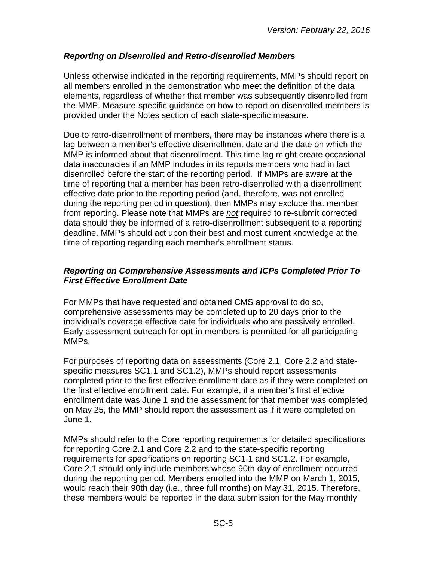# <span id="page-4-0"></span>*Reporting on Disenrolled and Retro-disenrolled Members*

Unless otherwise indicated in the reporting requirements, MMPs should report on all members enrolled in the demonstration who meet the definition of the data elements, regardless of whether that member was subsequently disenrolled from the MMP. Measure-specific guidance on how to report on disenrolled members is provided under the Notes section of each state-specific measure.

Due to retro-disenrollment of members, there may be instances where there is a lag between a member's effective disenrollment date and the date on which the MMP is informed about that disenrollment. This time lag might create occasional data inaccuracies if an MMP includes in its reports members who had in fact disenrolled before the start of the reporting period. If MMPs are aware at the time of reporting that a member has been retro-disenrolled with a disenrollment effective date prior to the reporting period (and, therefore, was not enrolled during the reporting period in question), then MMPs may exclude that member from reporting. Please note that MMPs are *not* required to re-submit corrected data should they be informed of a retro-disenrollment subsequent to a reporting deadline. MMPs should act upon their best and most current knowledge at the time of reporting regarding each member's enrollment status.

#### <span id="page-4-1"></span>*Reporting on Comprehensive Assessments and ICPs Completed Prior To First Effective Enrollment Date*

For MMPs that have requested and obtained CMS approval to do so, comprehensive assessments may be completed up to 20 days prior to the individual's coverage effective date for individuals who are passively enrolled. Early assessment outreach for opt-in members is permitted for all participating MMPs.

For purposes of reporting data on assessments (Core 2.1, Core 2.2 and statespecific measures SC1.1 and SC1.2), MMPs should report assessments completed prior to the first effective enrollment date as if they were completed on the first effective enrollment date. For example, if a member's first effective enrollment date was June 1 and the assessment for that member was completed on May 25, the MMP should report the assessment as if it were completed on June 1.

MMPs should refer to the Core reporting requirements for detailed specifications for reporting Core 2.1 and Core 2.2 and to the state-specific reporting requirements for specifications on reporting SC1.1 and SC1.2. For example, Core 2.1 should only include members whose 90th day of enrollment occurred during the reporting period. Members enrolled into the MMP on March 1, 2015, would reach their 90th day (i.e., three full months) on May 31, 2015. Therefore, these members would be reported in the data submission for the May monthly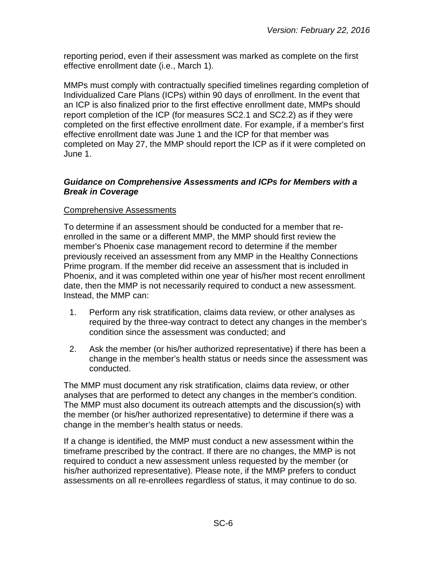reporting period, even if their assessment was marked as complete on the first effective enrollment date (i.e., March 1).

MMPs must comply with contractually specified timelines regarding completion of Individualized Care Plans (ICPs) within 90 days of enrollment. In the event that an ICP is also finalized prior to the first effective enrollment date, MMPs should report completion of the ICP (for measures SC2.1 and SC2.2) as if they were completed on the first effective enrollment date. For example, if a member's first effective enrollment date was June 1 and the ICP for that member was completed on May 27, the MMP should report the ICP as if it were completed on June 1.

#### <span id="page-5-0"></span>*Guidance on Comprehensive Assessments and ICPs for Members with a Break in Coverage*

#### Comprehensive Assessments

To determine if an assessment should be conducted for a member that reenrolled in the same or a different MMP, the MMP should first review the member's Phoenix case management record to determine if the member previously received an assessment from any MMP in the Healthy Connections Prime program. If the member did receive an assessment that is included in Phoenix, and it was completed within one year of his/her most recent enrollment date, then the MMP is not necessarily required to conduct a new assessment. Instead, the MMP can:

- 1. Perform any risk stratification, claims data review, or other analyses as required by the three-way contract to detect any changes in the member's condition since the assessment was conducted; and
- 2. Ask the member (or his/her authorized representative) if there has been a change in the member's health status or needs since the assessment was conducted.

The MMP must document any risk stratification, claims data review, or other analyses that are performed to detect any changes in the member's condition. The MMP must also document its outreach attempts and the discussion(s) with the member (or his/her authorized representative) to determine if there was a change in the member's health status or needs.

If a change is identified, the MMP must conduct a new assessment within the timeframe prescribed by the contract. If there are no changes, the MMP is not required to conduct a new assessment unless requested by the member (or his/her authorized representative). Please note, if the MMP prefers to conduct assessments on all re-enrollees regardless of status, it may continue to do so.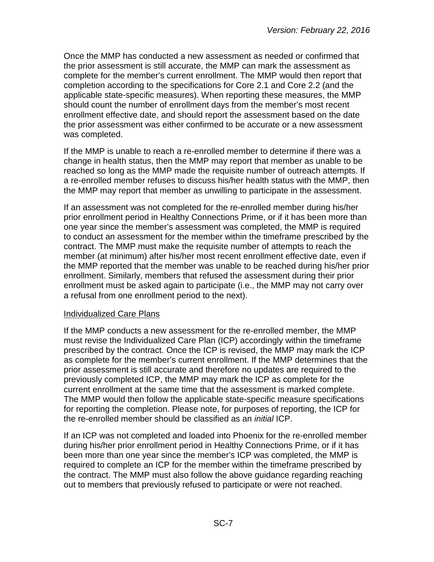Once the MMP has conducted a new assessment as needed or confirmed that the prior assessment is still accurate, the MMP can mark the assessment as complete for the member's current enrollment. The MMP would then report that completion according to the specifications for Core 2.1 and Core 2.2 (and the applicable state-specific measures). When reporting these measures, the MMP should count the number of enrollment days from the member's most recent enrollment effective date, and should report the assessment based on the date the prior assessment was either confirmed to be accurate or a new assessment was completed.

If the MMP is unable to reach a re-enrolled member to determine if there was a change in health status, then the MMP may report that member as unable to be reached so long as the MMP made the requisite number of outreach attempts. If a re-enrolled member refuses to discuss his/her health status with the MMP, then the MMP may report that member as unwilling to participate in the assessment.

If an assessment was not completed for the re-enrolled member during his/her prior enrollment period in Healthy Connections Prime, or if it has been more than one year since the member's assessment was completed, the MMP is required to conduct an assessment for the member within the timeframe prescribed by the contract. The MMP must make the requisite number of attempts to reach the member (at minimum) after his/her most recent enrollment effective date, even if the MMP reported that the member was unable to be reached during his/her prior enrollment. Similarly, members that refused the assessment during their prior enrollment must be asked again to participate (i.e., the MMP may not carry over a refusal from one enrollment period to the next).

#### Individualized Care Plans

If the MMP conducts a new assessment for the re-enrolled member, the MMP must revise the Individualized Care Plan (ICP) accordingly within the timeframe prescribed by the contract. Once the ICP is revised, the MMP may mark the ICP as complete for the member's current enrollment. If the MMP determines that the prior assessment is still accurate and therefore no updates are required to the previously completed ICP, the MMP may mark the ICP as complete for the current enrollment at the same time that the assessment is marked complete. The MMP would then follow the applicable state-specific measure specifications for reporting the completion. Please note, for purposes of reporting, the ICP for the re-enrolled member should be classified as an *initial* ICP.

If an ICP was not completed and loaded into Phoenix for the re-enrolled member during his/her prior enrollment period in Healthy Connections Prime, or if it has been more than one year since the member's ICP was completed, the MMP is required to complete an ICP for the member within the timeframe prescribed by the contract. The MMP must also follow the above guidance regarding reaching out to members that previously refused to participate or were not reached.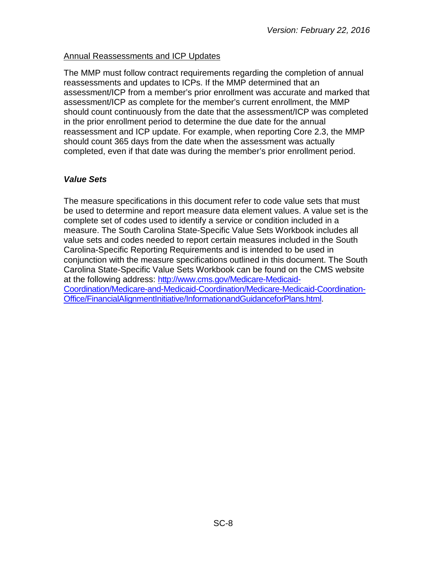#### Annual Reassessments and ICP Updates

The MMP must follow contract requirements regarding the completion of annual reassessments and updates to ICPs. If the MMP determined that an assessment/ICP from a member's prior enrollment was accurate and marked that assessment/ICP as complete for the member's current enrollment, the MMP should count continuously from the date that the assessment/ICP was completed in the prior enrollment period to determine the due date for the annual reassessment and ICP update. For example, when reporting Core 2.3, the MMP should count 365 days from the date when the assessment was actually completed, even if that date was during the member's prior enrollment period.

#### <span id="page-7-0"></span>*Value Sets*

The measure specifications in this document refer to code value sets that must be used to determine and report measure data element values. A value set is the complete set of codes used to identify a service or condition included in a measure. The South Carolina State-Specific Value Sets Workbook includes all value sets and codes needed to report certain measures included in the South Carolina-Specific Reporting Requirements and is intended to be used in conjunction with the measure specifications outlined in this document. The South Carolina State-Specific Value Sets Workbook can be found on the CMS website at the following address: [http://www.cms.gov/Medicare-Medicaid-](http://www.cms.gov/Medicare-Medicaid-Coordination/Medicare-and-Medicaid-Coordination/Medicare-Medicaid-Coordination-Office/FinancialAlignmentInitiative/InformationandGuidanceforPlans.html)[Coordination/Medicare-and-Medicaid-Coordination/Medicare-Medicaid-Coordination-](http://www.cms.gov/Medicare-Medicaid-Coordination/Medicare-and-Medicaid-Coordination/Medicare-Medicaid-Coordination-Office/FinancialAlignmentInitiative/InformationandGuidanceforPlans.html)[Office/FinancialAlignmentInitiative/InformationandGuidanceforPlans.html.](http://www.cms.gov/Medicare-Medicaid-Coordination/Medicare-and-Medicaid-Coordination/Medicare-Medicaid-Coordination-Office/FinancialAlignmentInitiative/InformationandGuidanceforPlans.html)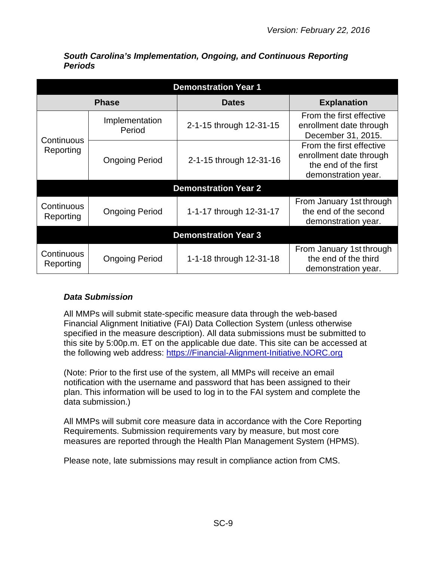| <b>Demonstration Year 1</b> |                          |                             |                                                                                                    |  |  |
|-----------------------------|--------------------------|-----------------------------|----------------------------------------------------------------------------------------------------|--|--|
|                             | <b>Phase</b>             | <b>Dates</b>                | <b>Explanation</b>                                                                                 |  |  |
|                             | Implementation<br>Period | 2-1-15 through 12-31-15     | From the first effective<br>enrollment date through<br>December 31, 2015.                          |  |  |
| Continuous<br>Reporting     | <b>Ongoing Period</b>    | 2-1-15 through 12-31-16     | From the first effective<br>enrollment date through<br>the end of the first<br>demonstration year. |  |  |
|                             |                          | <b>Demonstration Year 2</b> |                                                                                                    |  |  |
| Continuous<br>Reporting     | <b>Ongoing Period</b>    | 1-1-17 through 12-31-17     | From January 1st through<br>the end of the second<br>demonstration year.                           |  |  |
|                             |                          | <b>Demonstration Year 3</b> |                                                                                                    |  |  |
| Continuous<br>Reporting     | <b>Ongoing Period</b>    | 1-1-18 through 12-31-18     | From January 1st through<br>the end of the third<br>demonstration year.                            |  |  |

<span id="page-8-0"></span>*South Carolina's Implementation, Ongoing, and Continuous Reporting Periods*

# <span id="page-8-1"></span>*Data Submission*

All MMPs will submit state-specific measure data through the web-based Financial Alignment Initiative (FAI) Data Collection System (unless otherwise specified in the measure description). All data submissions must be submitted to this site by 5:00p.m. ET on the applicable due date. This site can be accessed at the following web address: [https://Financial-Alignment-Initiative.NORC.org](https://financial-alignment-initiative.norc.org/) 

(Note: Prior to the first use of the system, all MMPs will receive an email notification with the username and password that has been assigned to their plan. This information will be used to log in to the FAI system and complete the data submission.)

All MMPs will submit core measure data in accordance with the Core Reporting Requirements. Submission requirements vary by measure, but most core measures are reported through the Health Plan Management System (HPMS).

Please note, late submissions may result in compliance action from CMS.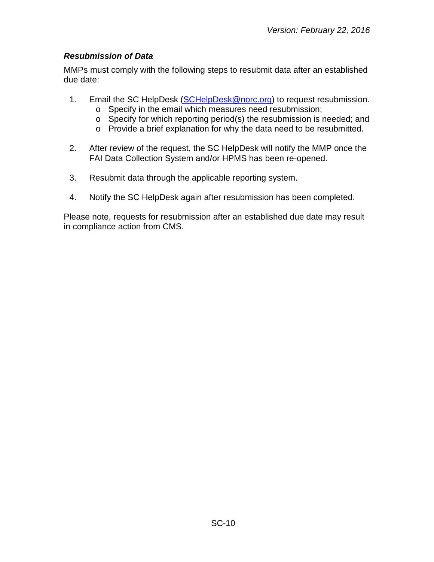# <span id="page-9-0"></span>*Resubmission of Data*

MMPs must comply with the following steps to resubmit data after an established due date:

- 1. Email the SC HelpDesk [\(SCHelpDesk@norc.org\)](mailto:SCHelpDesk@norc.org) to request resubmission.
	- o Specify in the email which measures need resubmission;
	- o Specify for which reporting period(s) the resubmission is needed; and
	- o Provide a brief explanation for why the data need to be resubmitted.
- 2. After review of the request, the SC HelpDesk will notify the MMP once the FAI Data Collection System and/or HPMS has been re-opened.
- 3. Resubmit data through the applicable reporting system.
- 4. Notify the SC HelpDesk again after resubmission has been completed.

Please note, requests for resubmission after an established due date may result in compliance action from CMS.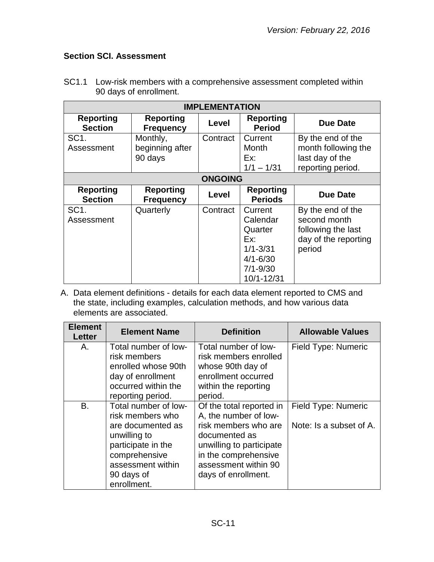# <span id="page-10-0"></span>**Section SCI. Assessment**

| <b>IMPLEMENTATION</b>              |                                        |          |                                                                                                     |                                                                                           |  |
|------------------------------------|----------------------------------------|----------|-----------------------------------------------------------------------------------------------------|-------------------------------------------------------------------------------------------|--|
| <b>Reporting</b><br><b>Section</b> | <b>Reporting</b><br><b>Frequency</b>   | Level    | <b>Reporting</b><br><b>Period</b>                                                                   | Due Date                                                                                  |  |
| SC <sub>1</sub> .<br>Assessment    | Monthly,<br>beginning after<br>90 days | Contract | Current<br>Month<br>Ex:<br>$1/1 - 1/31$                                                             | By the end of the<br>month following the<br>last day of the<br>reporting period.          |  |
| <b>ONGOING</b>                     |                                        |          |                                                                                                     |                                                                                           |  |
| <b>Reporting</b><br><b>Section</b> | <b>Reporting</b><br><b>Frequency</b>   | Level    | <b>Reporting</b><br><b>Periods</b>                                                                  | <b>Due Date</b>                                                                           |  |
| SC <sub>1</sub> .<br>Assessment    | Quarterly                              | Contract | Current<br>Calendar<br>Quarter<br>Ex:<br>$1/1 - 3/31$<br>$4/1 - 6/30$<br>$7/1 - 9/30$<br>10/1-12/31 | By the end of the<br>second month<br>following the last<br>day of the reporting<br>period |  |

SC1.1 Low-risk members with a comprehensive assessment completed within 90 days of enrollment.

| <b>Element</b><br><b>Letter</b> | <b>Element Name</b>                                                                                                                                                    | <b>Definition</b>                                                                                                                                                                             | <b>Allowable Values</b>                        |
|---------------------------------|------------------------------------------------------------------------------------------------------------------------------------------------------------------------|-----------------------------------------------------------------------------------------------------------------------------------------------------------------------------------------------|------------------------------------------------|
| Α.                              | Total number of low-<br>risk members<br>enrolled whose 90th<br>day of enrollment<br>occurred within the<br>reporting period.                                           | Total number of low-<br>risk members enrolled<br>whose 90th day of<br>enrollment occurred<br>within the reporting<br>period.                                                                  | Field Type: Numeric                            |
| B.                              | Total number of low-<br>risk members who<br>are documented as<br>unwilling to<br>participate in the<br>comprehensive<br>assessment within<br>90 days of<br>enrollment. | Of the total reported in<br>A, the number of low-<br>risk members who are<br>documented as<br>unwilling to participate<br>in the comprehensive<br>assessment within 90<br>days of enrollment. | Field Type: Numeric<br>Note: Is a subset of A. |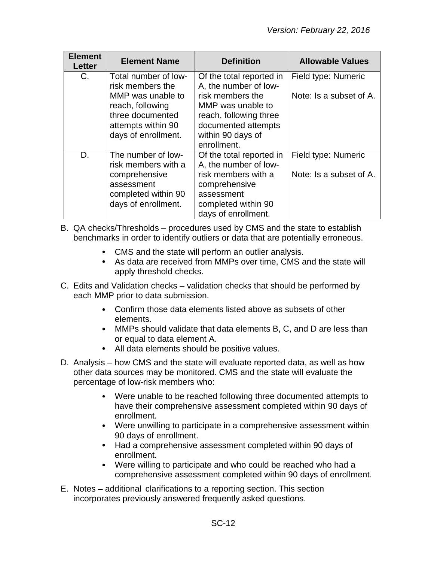| <b>Element</b><br><b>Letter</b> | <b>Element Name</b>                                                                                                                                | <b>Definition</b>                                                                                                                                                               | <b>Allowable Values</b>                        |
|---------------------------------|----------------------------------------------------------------------------------------------------------------------------------------------------|---------------------------------------------------------------------------------------------------------------------------------------------------------------------------------|------------------------------------------------|
| C.                              | Total number of low-<br>risk members the<br>MMP was unable to<br>reach, following<br>three documented<br>attempts within 90<br>days of enrollment. | Of the total reported in<br>A, the number of low-<br>risk members the<br>MMP was unable to<br>reach, following three<br>documented attempts<br>within 90 days of<br>enrollment. | Field type: Numeric<br>Note: Is a subset of A. |
| D.                              | The number of low-<br>risk members with a<br>comprehensive<br>assessment<br>completed within 90<br>days of enrollment.                             | Of the total reported in<br>A, the number of low-<br>risk members with a<br>comprehensive<br>assessment<br>completed within 90<br>days of enrollment.                           | Field type: Numeric<br>Note: Is a subset of A. |

- B. QA checks/Thresholds procedures used by CMS and the state to establish benchmarks in order to identify outliers or data that are potentially erroneous.
	- CMS and the state will perform an outlier analysis.
	- As data are received from MMPs over time, CMS and the state will apply threshold checks.
- C. Edits and Validation checks validation checks that should be performed by each MMP prior to data submission.
	- Confirm those data elements listed above as subsets of other elements.
	- MMPs should validate that data elements B, C, and D are less than or equal to data element A.
	- All data elements should be positive values.
- D. Analysis how CMS and the state will evaluate reported data, as well as how other data sources may be monitored. CMS and the state will evaluate the percentage of low-risk members who:
	- Were unable to be reached following three documented attempts to have their comprehensive assessment completed within 90 days of enrollment.
	- Were unwilling to participate in a comprehensive assessment within 90 days of enrollment.
	- Had a comprehensive assessment completed within 90 days of enrollment.
	- Were willing to participate and who could be reached who had a comprehensive assessment completed within 90 days of enrollment.
- E. Notes additional clarifications to a reporting section. This section incorporates previously answered frequently asked questions.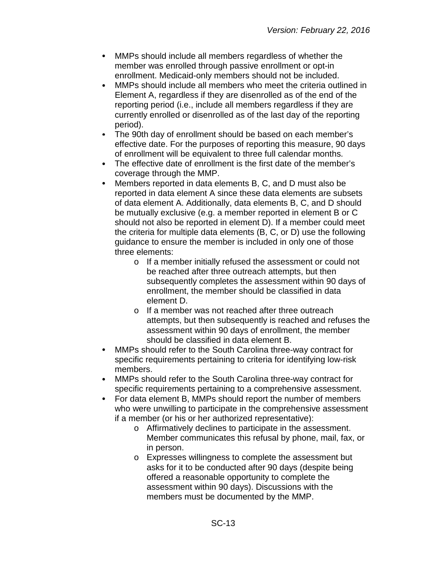- $\bullet$ MMPs should include all members regardless of whether the member was enrolled through passive enrollment or opt-in enrollment. Medicaid-only members should not be included.
- MMPs should include all members who meet the criteria outlined in  $\bullet$ Element A, regardless if they are disenrolled as of the end of the reporting period (i.e., include all members regardless if they are currently enrolled or disenrolled as of the last day of the reporting period).
- $\bullet$ The 90th day of enrollment should be based on each member's effective date. For the purposes of reporting this measure, 90 days of enrollment will be equivalent to three full calendar months.
- $\bullet$ The effective date of enrollment is the first date of the member's coverage through the MMP.
- $\bullet$ Members reported in data elements B, C, and D must also be reported in data element A since these data elements are subsets of data element A. Additionally, data elements B, C, and D should be mutually exclusive (e.g. a member reported in element B or C should not also be reported in element D). If a member could meet the criteria for multiple data elements (B, C, or D) use the following guidance to ensure the member is included in only one of those three elements:
	- o If a member initially refused the assessment or could not be reached after three outreach attempts, but then subsequently completes the assessment within 90 days of enrollment, the member should be classified in data element D.
	- o If a member was not reached after three outreach attempts, but then subsequently is reached and refuses the assessment within 90 days of enrollment, the member should be classified in data element B.
- MMPs should refer to the South Carolina three-way contract for  $\bullet$ specific requirements pertaining to criteria for identifying low-risk members.
- $\bullet$ MMPs should refer to the South Carolina three-way contract for specific requirements pertaining to a comprehensive assessment.
- For data element B, MMPs should report the number of members  $\bullet$ who were unwilling to participate in the comprehensive assessment if a member (or his or her authorized representative):
	- o Affirmatively declines to participate in the assessment. Member communicates this refusal by phone, mail, fax, or in person.
	- o Expresses willingness to complete the assessment but asks for it to be conducted after 90 days (despite being offered a reasonable opportunity to complete the assessment within 90 days). Discussions with the members must be documented by the MMP.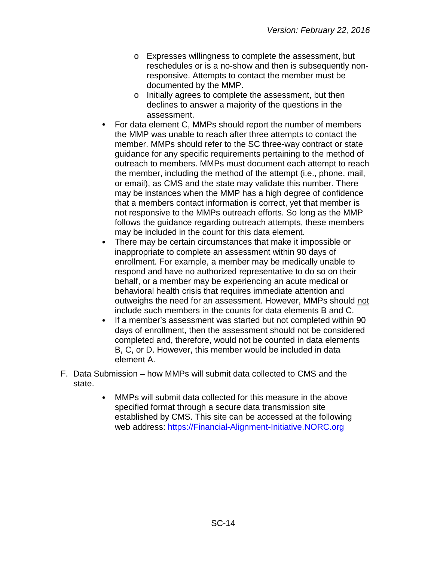- o Expresses willingness to complete the assessment, but reschedules or is a no-show and then is subsequently nonresponsive. Attempts to contact the member must be documented by the MMP.
- o Initially agrees to complete the assessment, but then declines to answer a majority of the questions in the assessment.
- For data element C, MMPs should report the number of members the MMP was unable to reach after three attempts to contact the member. MMPs should refer to the SC three-way contract or state guidance for any specific requirements pertaining to the method of outreach to members. MMPs must document each attempt to reach the member, including the method of the attempt (i.e., phone, mail, or email), as CMS and the state may validate this number. There may be instances when the MMP has a high degree of confidence that a members contact information is correct, yet that member is not responsive to the MMPs outreach efforts. So long as the MMP follows the guidance regarding outreach attempts, these members may be included in the count for this data element.
- There may be certain circumstances that make it impossible or inappropriate to complete an assessment within 90 days of enrollment. For example, a member may be medically unable to respond and have no authorized representative to do so on their behalf, or a member may be experiencing an acute medical or behavioral health crisis that requires immediate attention and outweighs the need for an assessment. However, MMPs should not include such members in the counts for data elements B and C.
- If a member's assessment was started but not completed within 90 days of enrollment, then the assessment should not be considered completed and, therefore, would not be counted in data elements B, C, or D. However, this member would be included in data element A.
- F. Data Submission how MMPs will submit data collected to CMS and the state.
	- MMPs will submit data collected for this measure in the above specified format through a secure data transmission site established by CMS. This site can be accessed at the following web address: [https://Financial-Alignment-Initiative.NORC.org](https://financial-alignment-initiative.norc.org/)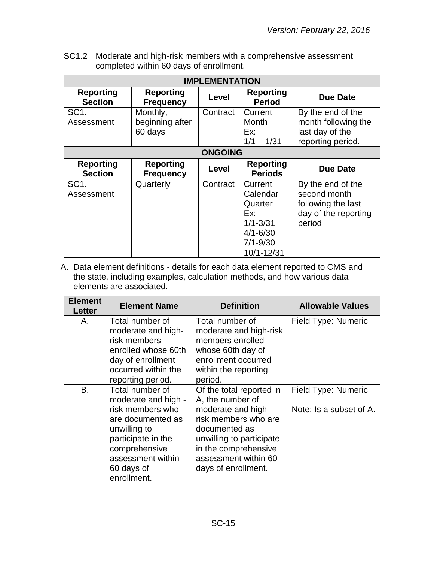SC1.2 Moderate and high-risk members with a comprehensive assessment completed within 60 days of enrollment.

| <b>IMPLEMENTATION</b>              |                                        |              |                                                                                                     |                                                                                           |  |  |
|------------------------------------|----------------------------------------|--------------|-----------------------------------------------------------------------------------------------------|-------------------------------------------------------------------------------------------|--|--|
| <b>Reporting</b><br><b>Section</b> | <b>Reporting</b><br><b>Frequency</b>   | <b>Level</b> | <b>Reporting</b><br><b>Period</b>                                                                   | <b>Due Date</b>                                                                           |  |  |
| SC <sub>1</sub> .<br>Assessment    | Monthly,<br>beginning after<br>60 days | Contract     | Current<br>Month<br>Ex:<br>$1/1 - 1/31$                                                             | By the end of the<br>month following the<br>last day of the<br>reporting period.          |  |  |
|                                    | <b>ONGOING</b>                         |              |                                                                                                     |                                                                                           |  |  |
| <b>Reporting</b><br><b>Section</b> | <b>Reporting</b><br><b>Frequency</b>   | Level        | <b>Reporting</b><br><b>Periods</b>                                                                  | <b>Due Date</b>                                                                           |  |  |
| SC <sub>1</sub> .<br>Assessment    | Quarterly                              | Contract     | Current<br>Calendar<br>Quarter<br>Fx:<br>$1/1 - 3/31$<br>$4/1 - 6/30$<br>$7/1 - 9/30$<br>10/1-12/31 | By the end of the<br>second month<br>following the last<br>day of the reporting<br>period |  |  |

| <b>Element</b><br>Letter | <b>Element Name</b>                                                                                                                                                                      | <b>Definition</b>                                                                                                                                                                                               | <b>Allowable Values</b>                        |
|--------------------------|------------------------------------------------------------------------------------------------------------------------------------------------------------------------------------------|-----------------------------------------------------------------------------------------------------------------------------------------------------------------------------------------------------------------|------------------------------------------------|
| Α.                       | Total number of<br>moderate and high-<br>risk members<br>enrolled whose 60th<br>day of enrollment<br>occurred within the<br>reporting period.                                            | Total number of<br>moderate and high-risk<br>members enrolled<br>whose 60th day of<br>enrollment occurred<br>within the reporting<br>period.                                                                    | Field Type: Numeric                            |
| B.                       | Total number of<br>moderate and high -<br>risk members who<br>are documented as<br>unwilling to<br>participate in the<br>comprehensive<br>assessment within<br>60 days of<br>enrollment. | Of the total reported in<br>A, the number of<br>moderate and high -<br>risk members who are<br>documented as<br>unwilling to participate<br>in the comprehensive<br>assessment within 60<br>days of enrollment. | Field Type: Numeric<br>Note: Is a subset of A. |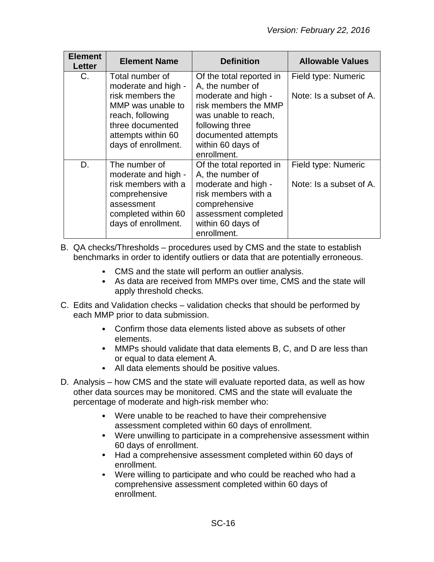| <b>Element</b><br>Letter | <b>Element Name</b>                                                                                                                                                  | <b>Definition</b>                                                                                                                                                                                 | <b>Allowable Values</b>                        |
|--------------------------|----------------------------------------------------------------------------------------------------------------------------------------------------------------------|---------------------------------------------------------------------------------------------------------------------------------------------------------------------------------------------------|------------------------------------------------|
| C.                       | Total number of<br>moderate and high -<br>risk members the<br>MMP was unable to<br>reach, following<br>three documented<br>attempts within 60<br>days of enrollment. | Of the total reported in<br>A, the number of<br>moderate and high -<br>risk members the MMP<br>was unable to reach,<br>following three<br>documented attempts<br>within 60 days of<br>enrollment. | Field type: Numeric<br>Note: Is a subset of A. |
| D.                       | The number of<br>moderate and high -<br>risk members with a<br>comprehensive<br>assessment<br>completed within 60<br>days of enrollment.                             | Of the total reported in<br>A, the number of<br>moderate and high -<br>risk members with a<br>comprehensive<br>assessment completed<br>within 60 days of<br>enrollment.                           | Field type: Numeric<br>Note: Is a subset of A. |

- B. QA checks/Thresholds procedures used by CMS and the state to establish benchmarks in order to identify outliers or data that are potentially erroneous.
	- CMS and the state will perform an outlier analysis.
	- As data are received from MMPs over time, CMS and the state will apply threshold checks.
- C. Edits and Validation checks validation checks that should be performed by each MMP prior to data submission.
	- Confirm those data elements listed above as subsets of other elements.
	- MMPs should validate that data elements B, C, and D are less than or equal to data element A.
	- All data elements should be positive values.
- D. Analysis how CMS and the state will evaluate reported data, as well as how other data sources may be monitored. CMS and the state will evaluate the percentage of moderate and high-risk member who:
	- Were unable to be reached to have their comprehensive assessment completed within 60 days of enrollment.
	- Were unwilling to participate in a comprehensive assessment within 60 days of enrollment.
	- Had a comprehensive assessment completed within 60 days of enrollment.
	- $\bullet$ Were willing to participate and who could be reached who had a comprehensive assessment completed within 60 days of enrollment.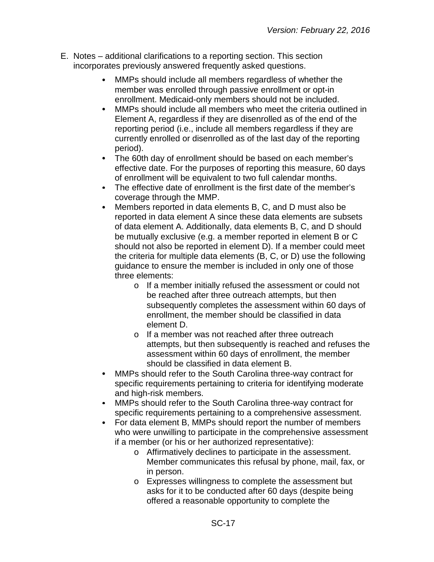- E. Notes additional clarifications to a reporting section. This section incorporates previously answered frequently asked questions.
	- MMPs should include all members regardless of whether the  $\bullet$ member was enrolled through passive enrollment or opt-in enrollment. Medicaid-only members should not be included.
	- $\bullet$ MMPs should include all members who meet the criteria outlined in Element A, regardless if they are disenrolled as of the end of the reporting period (i.e., include all members regardless if they are currently enrolled or disenrolled as of the last day of the reporting period).
	- The 60th day of enrollment should be based on each member's  $\bullet$ effective date. For the purposes of reporting this measure, 60 days of enrollment will be equivalent to two full calendar months.
	- $\bullet$ The effective date of enrollment is the first date of the member's coverage through the MMP.
	- $\bullet$ Members reported in data elements B, C, and D must also be reported in data element A since these data elements are subsets of data element A. Additionally, data elements B, C, and D should be mutually exclusive (e.g. a member reported in element B or C should not also be reported in element D). If a member could meet the criteria for multiple data elements (B, C, or D) use the following guidance to ensure the member is included in only one of those three elements:
		- o If a member initially refused the assessment or could not be reached after three outreach attempts, but then subsequently completes the assessment within 60 days of enrollment, the member should be classified in data element D.
		- o If a member was not reached after three outreach attempts, but then subsequently is reached and refuses the assessment within 60 days of enrollment, the member should be classified in data element B.
	- MMPs should refer to the South Carolina three-way contract for  $\bullet$ specific requirements pertaining to criteria for identifying moderate and high-risk members.
	- MMPs should refer to the South Carolina three-way contract for  $\bullet$ specific requirements pertaining to a comprehensive assessment.
	- For data element B, MMPs should report the number of members  $\bullet$ who were unwilling to participate in the comprehensive assessment if a member (or his or her authorized representative):
		- o Affirmatively declines to participate in the assessment. Member communicates this refusal by phone, mail, fax, or in person.
		- o Expresses willingness to complete the assessment but asks for it to be conducted after 60 days (despite being offered a reasonable opportunity to complete the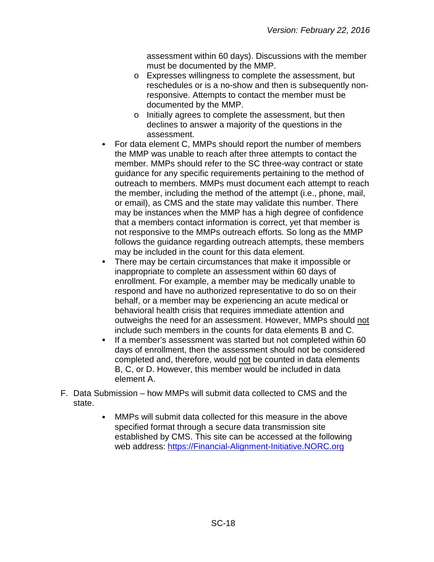assessment within 60 days). Discussions with the member must be documented by the MMP.

- o Expresses willingness to complete the assessment, but reschedules or is a no-show and then is subsequently nonresponsive. Attempts to contact the member must be documented by the MMP.
- o Initially agrees to complete the assessment, but then declines to answer a majority of the questions in the assessment.
- For data element C, MMPs should report the number of members the MMP was unable to reach after three attempts to contact the member. MMPs should refer to the SC three-way contract or state guidance for any specific requirements pertaining to the method of outreach to members. MMPs must document each attempt to reach the member, including the method of the attempt (i.e., phone, mail, or email), as CMS and the state may validate this number. There may be instances when the MMP has a high degree of confidence that a members contact information is correct, yet that member is not responsive to the MMPs outreach efforts. So long as the MMP follows the guidance regarding outreach attempts, these members may be included in the count for this data element.
- There may be certain circumstances that make it impossible or inappropriate to complete an assessment within 60 days of enrollment. For example, a member may be medically unable to respond and have no authorized representative to do so on their behalf, or a member may be experiencing an acute medical or behavioral health crisis that requires immediate attention and outweighs the need for an assessment. However, MMPs should not include such members in the counts for data elements B and C.
- If a member's assessment was started but not completed within 60  $\bullet$ days of enrollment, then the assessment should not be considered completed and, therefore, would not be counted in data elements B, C, or D. However, this member would be included in data element A.
- F. Data Submission how MMPs will submit data collected to CMS and the state.
	- $\bullet$ MMPs will submit data collected for this measure in the above specified format through a secure data transmission site established by CMS. This site can be accessed at the following web address: [https://Financial-Alignment-Initiative.NORC.org](https://financial-alignment-initiative.norc.org/)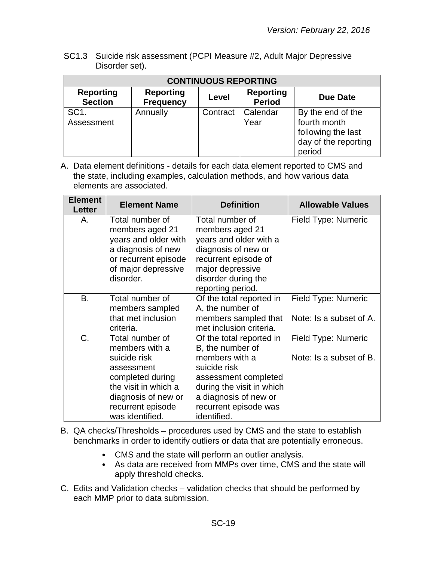SC1.3 Suicide risk assessment (PCPI Measure #2, Adult Major Depressive Disorder set).

| <b>CONTINUOUS REPORTING</b>        |                                      |          |                                   |                                                                                           |  |
|------------------------------------|--------------------------------------|----------|-----------------------------------|-------------------------------------------------------------------------------------------|--|
| <b>Reporting</b><br><b>Section</b> | <b>Reporting</b><br><b>Frequency</b> | Level    | <b>Reporting</b><br><b>Period</b> | <b>Due Date</b>                                                                           |  |
| SC <sub>1</sub><br>Assessment      | Annually                             | Contract | Calendar<br>Year                  | By the end of the<br>fourth month<br>following the last<br>day of the reporting<br>period |  |

| <b>Element</b><br><b>Letter</b> | <b>Element Name</b>                                                                                                                                                        | <b>Definition</b>                                                                                                                                                                                    | <b>Allowable Values</b>                        |
|---------------------------------|----------------------------------------------------------------------------------------------------------------------------------------------------------------------------|------------------------------------------------------------------------------------------------------------------------------------------------------------------------------------------------------|------------------------------------------------|
| А.                              | Total number of<br>members aged 21<br>years and older with<br>a diagnosis of new<br>or recurrent episode<br>of major depressive<br>disorder.                               | Total number of<br>members aged 21<br>years and older with a<br>diagnosis of new or<br>recurrent episode of<br>major depressive<br>disorder during the<br>reporting period.                          | Field Type: Numeric                            |
| <b>B.</b>                       | Total number of<br>members sampled<br>that met inclusion<br>criteria.                                                                                                      | Of the total reported in<br>A, the number of<br>members sampled that<br>met inclusion criteria.                                                                                                      | Field Type: Numeric<br>Note: Is a subset of A. |
| C.                              | Total number of<br>members with a<br>suicide risk<br>assessment<br>completed during<br>the visit in which a<br>diagnosis of new or<br>recurrent episode<br>was identified. | Of the total reported in<br>B, the number of<br>members with a<br>suicide risk<br>assessment completed<br>during the visit in which<br>a diagnosis of new or<br>recurrent episode was<br>identified. | Field Type: Numeric<br>Note: Is a subset of B. |

- B. QA checks/Thresholds procedures used by CMS and the state to establish benchmarks in order to identify outliers or data that are potentially erroneous.
	- CMS and the state will perform an outlier analysis.
	- As data are received from MMPs over time, CMS and the state will apply threshold checks.
- C. Edits and Validation checks validation checks that should be performed by each MMP prior to data submission.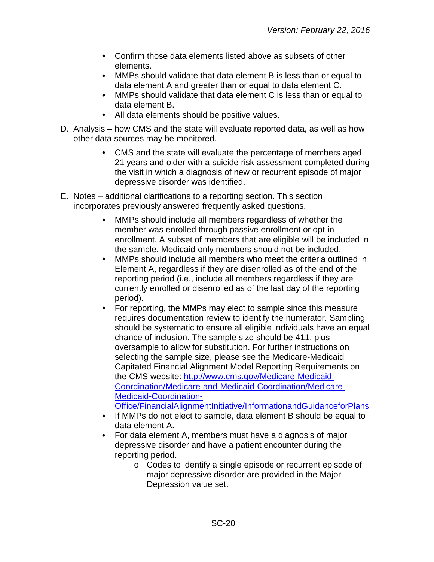- Confirm those data elements listed above as subsets of other elements.
- MMPs should validate that data element B is less than or equal to  $\bullet$ data element A and greater than or equal to data element C.
- MMPs should validate that data element C is less than or equal to data element B.
- All data elements should be positive values.
- D. Analysis how CMS and the state will evaluate reported data, as well as how other data sources may be monitored.
	- CMS and the state will evaluate the percentage of members aged 21 years and older with a suicide risk assessment completed during the visit in which a diagnosis of new or recurrent episode of major depressive disorder was identified.
- E. Notes additional clarifications to a reporting section. This section incorporates previously answered frequently asked questions.
	- MMPs should include all members regardless of whether the member was enrolled through passive enrollment or opt-in enrollment. A subset of members that are eligible will be included in the sample. Medicaid-only members should not be included.
	- $\bullet$ MMPs should include all members who meet the criteria outlined in Element A, regardless if they are disenrolled as of the end of the reporting period (i.e., include all members regardless if they are currently enrolled or disenrolled as of the last day of the reporting period).
	- $\bullet$ For reporting, the MMPs may elect to sample since this measure requires documentation review to identify the numerator. Sampling should be systematic to ensure all eligible individuals have an equal chance of inclusion. The sample size should be 411, plus oversample to allow for substitution. For further instructions on selecting the sample size, please see the Medicare-Medicaid Capitated Financial Alignment Model Reporting Requirements on the CMS website: [http://www.cms.gov/Medicare-Medicaid-](http://www.cms.gov/Medicare-Medicaid-Coordination/Medicare-and-Medicaid-Coordination/Medicare-Medicaid-Coordination-Office/FinancialAlignmentInitiative/InformationandGuidanceforPlans)[Coordination/Medicare-and-Medicaid-Coordination/Medicare-](http://www.cms.gov/Medicare-Medicaid-Coordination/Medicare-and-Medicaid-Coordination/Medicare-Medicaid-Coordination-Office/FinancialAlignmentInitiative/InformationandGuidanceforPlans)[Medicaid-Coordination-](http://www.cms.gov/Medicare-Medicaid-Coordination/Medicare-and-Medicaid-Coordination/Medicare-Medicaid-Coordination-Office/FinancialAlignmentInitiative/InformationandGuidanceforPlans)[Office/FinancialAlignmentInitiative/InformationandGuidanceforPlans](http://www.cms.gov/Medicare-Medicaid-Coordination/Medicare-and-Medicaid-Coordination/Medicare-Medicaid-Coordination-Office/FinancialAlignmentInitiative/InformationandGuidanceforPlans)
	- If MMPs do not elect to sample, data element B should be equal to data element A.
	- For data element A, members must have a diagnosis of major  $\bullet$ depressive disorder and have a patient encounter during the reporting period.
		- o Codes to identify a single episode or recurrent episode of major depressive disorder are provided in the Major Depression value set.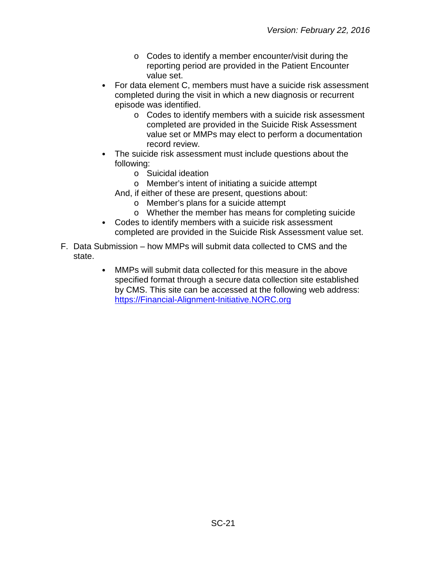- o Codes to identify a member encounter/visit during the reporting period are provided in the Patient Encounter value set.
- For data element C, members must have a suicide risk assessment completed during the visit in which a new diagnosis or recurrent episode was identified.
	- o Codes to identify members with a suicide risk assessment completed are provided in the Suicide Risk Assessment value set or MMPs may elect to perform a documentation record review.
- The suicide risk assessment must include questions about the following:
	- o Suicidal ideation
	- o Member's intent of initiating a suicide attempt
	- And, if either of these are present, questions about:
		- o Member's plans for a suicide attempt
		- o Whether the member has means for completing suicide
- Codes to identify members with a suicide risk assessment completed are provided in the Suicide Risk Assessment value set.
- F. Data Submission how MMPs will submit data collected to CMS and the state.
	- MMPs will submit data collected for this measure in the above  $\bullet$ specified format through a secure data collection site established by CMS. This site can be accessed at the following web address: [https://Financial-Alignment-Initiative.NORC.org](https://financial-alignment-initiative.norc.org/)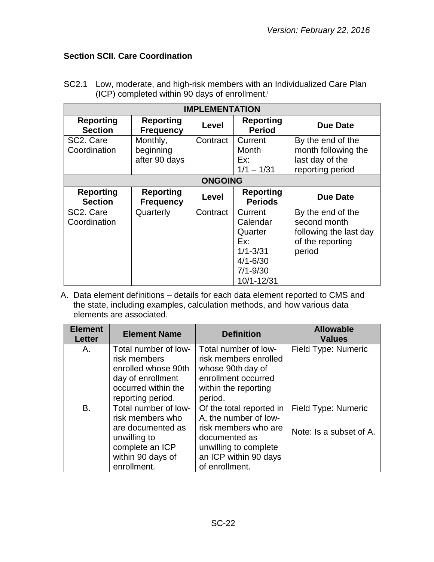# <span id="page-21-0"></span>**Section SCII. Care Coordination**

| <b>IMPLEMENTATION</b>                  |                                        |          |                                                                                                     |                                                                                           |  |  |
|----------------------------------------|----------------------------------------|----------|-----------------------------------------------------------------------------------------------------|-------------------------------------------------------------------------------------------|--|--|
| <b>Reporting</b><br><b>Section</b>     | <b>Reporting</b><br><b>Frequency</b>   | Level    | <b>Reporting</b><br><b>Period</b>                                                                   | Due Date                                                                                  |  |  |
| SC <sub>2</sub> . Care<br>Coordination | Monthly,<br>beginning<br>after 90 days | Contract | Current<br>Month<br>Ex:<br>$1/1 - 1/31$                                                             | By the end of the<br>month following the<br>last day of the<br>reporting period           |  |  |
|                                        | <b>ONGOING</b>                         |          |                                                                                                     |                                                                                           |  |  |
| <b>Reporting</b><br><b>Section</b>     | <b>Reporting</b><br><b>Frequency</b>   | Level    | <b>Reporting</b><br><b>Periods</b>                                                                  | <b>Due Date</b>                                                                           |  |  |
| SC2. Care<br>Coordination              | Quarterly                              | Contract | Current<br>Calendar<br>Quarter<br>Ex:<br>$1/1 - 3/31$<br>$4/1 - 6/30$<br>$7/1 - 9/30$<br>10/1-12/31 | By the end of the<br>second month<br>following the last day<br>of the reporting<br>period |  |  |

SC2.1 Low, moderate, and high-risk members with an Individualized Care Plan (ICP) completed within 90 days of enrollment.i

| <b>Element</b><br><b>Letter</b> | <b>Element Name</b>                                                                                                                  | <b>Definition</b>                                                                                                                                              | <b>Allowable</b><br><b>Values</b>              |
|---------------------------------|--------------------------------------------------------------------------------------------------------------------------------------|----------------------------------------------------------------------------------------------------------------------------------------------------------------|------------------------------------------------|
| Α.                              | Total number of low-<br>risk members<br>enrolled whose 90th<br>day of enrollment<br>occurred within the<br>reporting period.         | Total number of low-<br>risk members enrolled<br>whose 90th day of<br>enrollment occurred<br>within the reporting<br>period.                                   | Field Type: Numeric                            |
| <b>B.</b>                       | Total number of low-<br>risk members who<br>are documented as<br>unwilling to<br>complete an ICP<br>within 90 days of<br>enrollment. | Of the total reported in<br>A, the number of low-<br>risk members who are<br>documented as<br>unwilling to complete<br>an ICP within 90 days<br>of enrollment. | Field Type: Numeric<br>Note: Is a subset of A. |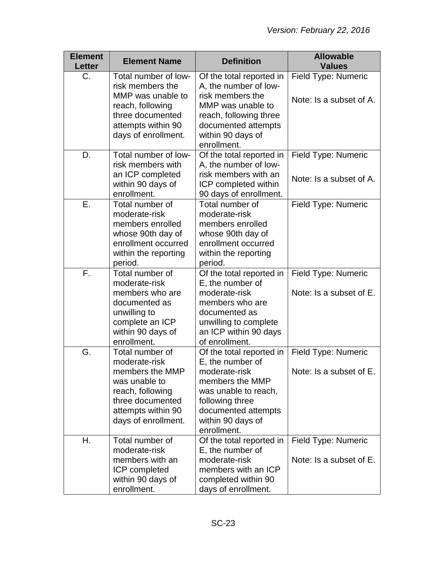| <b>Element</b><br><b>Letter</b> | <b>Element Name</b>                                                                                                                                       | <b>Definition</b>                                                                                                                                                                      | <b>Allowable</b><br><b>Values</b>              |
|---------------------------------|-----------------------------------------------------------------------------------------------------------------------------------------------------------|----------------------------------------------------------------------------------------------------------------------------------------------------------------------------------------|------------------------------------------------|
| C.                              | Total number of low-<br>risk members the                                                                                                                  | Of the total reported in<br>A, the number of low-                                                                                                                                      | Field Type: Numeric                            |
|                                 | MMP was unable to<br>reach, following<br>three documented<br>attempts within 90<br>days of enrollment.                                                    | risk members the<br>MMP was unable to<br>reach, following three<br>documented attempts<br>within 90 days of<br>enrollment.                                                             | Note: Is a subset of A.                        |
| D.                              | Total number of low-<br>risk members with<br>an ICP completed                                                                                             | Of the total reported in<br>A, the number of low-<br>risk members with an                                                                                                              | Field Type: Numeric<br>Note: Is a subset of A. |
|                                 | within 90 days of<br>enrollment.                                                                                                                          | ICP completed within<br>90 days of enrollment.                                                                                                                                         |                                                |
| Ε.                              | Total number of<br>moderate-risk<br>members enrolled<br>whose 90th day of<br>enrollment occurred<br>within the reporting                                  | Total number of<br>moderate-risk<br>members enrolled<br>whose 90th day of<br>enrollment occurred<br>within the reporting                                                               | Field Type: Numeric                            |
| F.                              | period.<br>Total number of                                                                                                                                | period.<br>Of the total reported in                                                                                                                                                    | Field Type: Numeric                            |
|                                 | moderate-risk<br>members who are<br>documented as<br>unwilling to<br>complete an ICP<br>within 90 days of<br>enrollment.                                  | E, the number of<br>moderate-risk<br>members who are<br>documented as<br>unwilling to complete<br>an ICP within 90 days<br>of enrollment.                                              | Note: Is a subset of E.                        |
| G.                              | Total number of<br>moderate-risk<br>members the MMP<br>was unable to<br>reach, following<br>three documented<br>attempts within 90<br>days of enrollment. | Of the total reported in<br>E, the number of<br>moderate-risk<br>members the MMP<br>was unable to reach,<br>following three<br>documented attempts<br>within 90 days of<br>enrollment. | Field Type: Numeric<br>Note: Is a subset of E. |
| Η.                              | Total number of<br>moderate-risk<br>members with an<br>ICP completed<br>within 90 days of<br>enrollment.                                                  | Of the total reported in<br>E, the number of<br>moderate-risk<br>members with an ICP<br>completed within 90<br>days of enrollment.                                                     | Field Type: Numeric<br>Note: Is a subset of E. |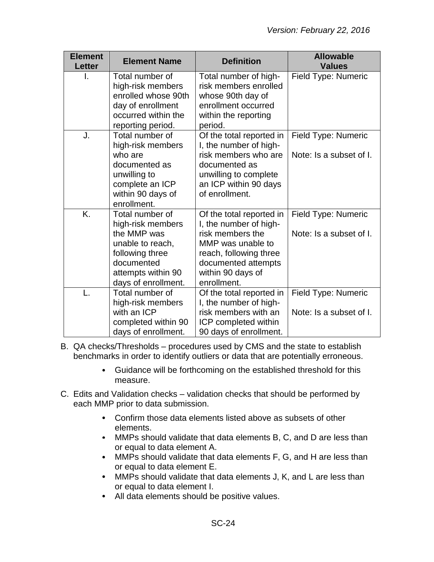| <b>Element</b><br><b>Letter</b> | <b>Element Name</b>                                                                                                                                   | <b>Definition</b>                                                                                                                                                                | <b>Allowable</b><br><b>Values</b>              |
|---------------------------------|-------------------------------------------------------------------------------------------------------------------------------------------------------|----------------------------------------------------------------------------------------------------------------------------------------------------------------------------------|------------------------------------------------|
| I.                              | Total number of<br>high-risk members<br>enrolled whose 90th<br>day of enrollment<br>occurred within the<br>reporting period.                          | Total number of high-<br>risk members enrolled<br>whose 90th day of<br>enrollment occurred<br>within the reporting<br>period.                                                    | Field Type: Numeric                            |
| J.                              | Total number of<br>high-risk members<br>who are<br>documented as<br>unwilling to<br>complete an ICP<br>within 90 days of<br>enrollment.               | Of the total reported in<br>I, the number of high-<br>risk members who are<br>documented as<br>unwilling to complete<br>an ICP within 90 days<br>of enrollment.                  | Field Type: Numeric<br>Note: Is a subset of I. |
| K.                              | Total number of<br>high-risk members<br>the MMP was<br>unable to reach,<br>following three<br>documented<br>attempts within 90<br>days of enrollment. | Of the total reported in<br>I, the number of high-<br>risk members the<br>MMP was unable to<br>reach, following three<br>documented attempts<br>within 90 days of<br>enrollment. | Field Type: Numeric<br>Note: Is a subset of I. |
|                                 | Total number of<br>high-risk members<br>with an ICP<br>completed within 90<br>days of enrollment.                                                     | Of the total reported in<br>I, the number of high-<br>risk members with an<br>ICP completed within<br>90 days of enrollment.                                                     | Field Type: Numeric<br>Note: Is a subset of I. |

- B. QA checks/Thresholds procedures used by CMS and the state to establish benchmarks in order to identify outliers or data that are potentially erroneous.
	- Guidance will be forthcoming on the established threshold for this measure.
- C. Edits and Validation checks validation checks that should be performed by each MMP prior to data submission.
	- Confirm those data elements listed above as subsets of other elements.
	- MMPs should validate that data elements B, C, and D are less than or equal to data element A.
	- $\bullet$ MMPs should validate that data elements F, G, and H are less than or equal to data element E.
	- MMPs should validate that data elements J, K, and L are less than or equal to data element I.
	- All data elements should be positive values.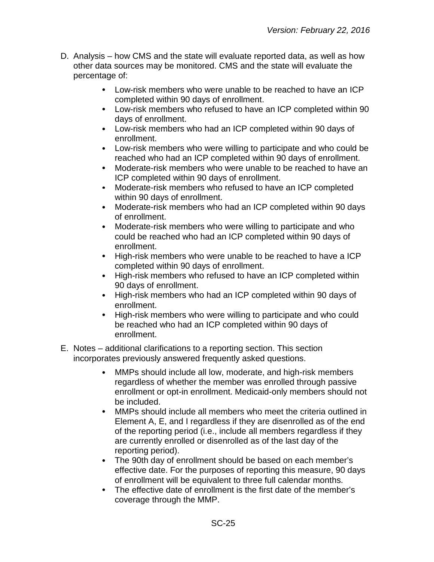- D. Analysis how CMS and the state will evaluate reported data, as well as how other data sources may be monitored. CMS and the state will evaluate the percentage of:
	- Low-risk members who were unable to be reached to have an ICP completed within 90 days of enrollment.
	- Low-risk members who refused to have an ICP completed within 90 days of enrollment.
	- Low-risk members who had an ICP completed within 90 days of enrollment.
	- Low-risk members who were willing to participate and who could be reached who had an ICP completed within 90 days of enrollment.
	- $\bullet$ Moderate-risk members who were unable to be reached to have an ICP completed within 90 days of enrollment.
	- $\bullet$ Moderate-risk members who refused to have an ICP completed within 90 days of enrollment.
	- $\bullet$ Moderate-risk members who had an ICP completed within 90 days of enrollment.
	- $\bullet$ Moderate-risk members who were willing to participate and who could be reached who had an ICP completed within 90 days of enrollment.
	- $\bullet$ High-risk members who were unable to be reached to have a ICP completed within 90 days of enrollment.
	- High-risk members who refused to have an ICP completed within 90 days of enrollment.
	- High-risk members who had an ICP completed within 90 days of enrollment.
	- $\bullet$ High-risk members who were willing to participate and who could be reached who had an ICP completed within 90 days of enrollment.
- E. Notes additional clarifications to a reporting section. This section incorporates previously answered frequently asked questions.
	- MMPs should include all low, moderate, and high-risk members  $\bullet$ regardless of whether the member was enrolled through passive enrollment or opt-in enrollment. Medicaid-only members should not be included.
	- $\bullet$ MMPs should include all members who meet the criteria outlined in Element A, E, and I regardless if they are disenrolled as of the end of the reporting period (i.e., include all members regardless if they are currently enrolled or disenrolled as of the last day of the reporting period).
	- The 90th day of enrollment should be based on each member's effective date. For the purposes of reporting this measure, 90 days of enrollment will be equivalent to three full calendar months.
	- The effective date of enrollment is the first date of the member's coverage through the MMP.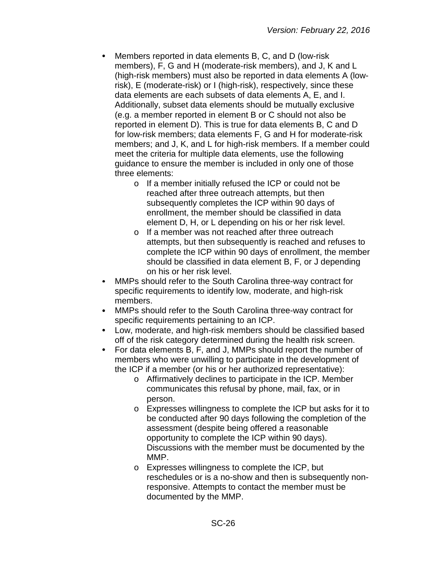- Members reported in data elements B, C, and D (low-risk members), F, G and H (moderate-risk members), and J, K and L (high-risk members) must also be reported in data elements A (lowrisk), E (moderate-risk) or I (high-risk), respectively, since these data elements are each subsets of data elements A, E, and I. Additionally, subset data elements should be mutually exclusive (e.g. a member reported in element B or C should not also be reported in element D). This is true for data elements B, C and D for low-risk members; data elements F, G and H for moderate-risk members; and J, K, and L for high-risk members. If a member could meet the criteria for multiple data elements, use the following guidance to ensure the member is included in only one of those three elements:
	- o If a member initially refused the ICP or could not be reached after three outreach attempts, but then subsequently completes the ICP within 90 days of enrollment, the member should be classified in data element D, H, or L depending on his or her risk level.
	- o If a member was not reached after three outreach attempts, but then subsequently is reached and refuses to complete the ICP within 90 days of enrollment, the member should be classified in data element B, F, or J depending on his or her risk level.
- MMPs should refer to the South Carolina three-way contract for specific requirements to identify low, moderate, and high-risk members.
- $\bullet$ MMPs should refer to the South Carolina three-way contract for specific requirements pertaining to an ICP.
- $\bullet$ Low, moderate, and high-risk members should be classified based off of the risk category determined during the health risk screen.
- For data elements B, F, and J, MMPs should report the number of  $\bullet$ members who were unwilling to participate in the development of the ICP if a member (or his or her authorized representative):
	- o Affirmatively declines to participate in the ICP. Member communicates this refusal by phone, mail, fax, or in person.
	- o Expresses willingness to complete the ICP but asks for it to be conducted after 90 days following the completion of the assessment (despite being offered a reasonable opportunity to complete the ICP within 90 days). Discussions with the member must be documented by the MMP.
	- o Expresses willingness to complete the ICP, but reschedules or is a no-show and then is subsequently nonresponsive. Attempts to contact the member must be documented by the MMP.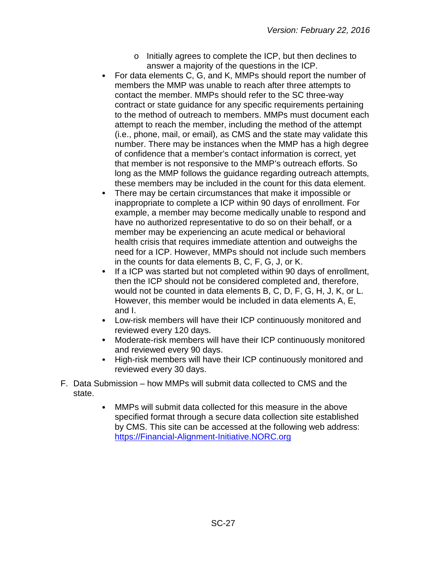- o Initially agrees to complete the ICP, but then declines to answer a majority of the questions in the ICP.
- For data elements C, G, and K, MMPs should report the number of members the MMP was unable to reach after three attempts to contact the member. MMPs should refer to the SC three-way contract or state guidance for any specific requirements pertaining to the method of outreach to members. MMPs must document each attempt to reach the member, including the method of the attempt (i.e., phone, mail, or email), as CMS and the state may validate this number. There may be instances when the MMP has a high degree of confidence that a member's contact information is correct, yet that member is not responsive to the MMP's outreach efforts. So long as the MMP follows the guidance regarding outreach attempts, these members may be included in the count for this data element.
- There may be certain circumstances that make it impossible or inappropriate to complete a ICP within 90 days of enrollment. For example, a member may become medically unable to respond and have no authorized representative to do so on their behalf, or a member may be experiencing an acute medical or behavioral health crisis that requires immediate attention and outweighs the need for a ICP. However, MMPs should not include such members in the counts for data elements B, C, F, G, J, or K.
- If a ICP was started but not completed within 90 days of enrollment,  $\bullet$ then the ICP should not be considered completed and, therefore, would not be counted in data elements B, C, D, F, G, H, J, K, or L. However, this member would be included in data elements A, E, and I.
- Low-risk members will have their ICP continuously monitored and  $\bullet$ reviewed every 120 days.
- $\bullet$ Moderate-risk members will have their ICP continuously monitored and reviewed every 90 days.
- High-risk members will have their ICP continuously monitored and reviewed every 30 days.
- F. Data Submission how MMPs will submit data collected to CMS and the state.
	- MMPs will submit data collected for this measure in the above  $\bullet$ specified format through a secure data collection site established by CMS. This site can be accessed at the following web address: [https://Financial-Alignment-Initiative.NORC.org](https://financial-alignment-initiative.norc.org/)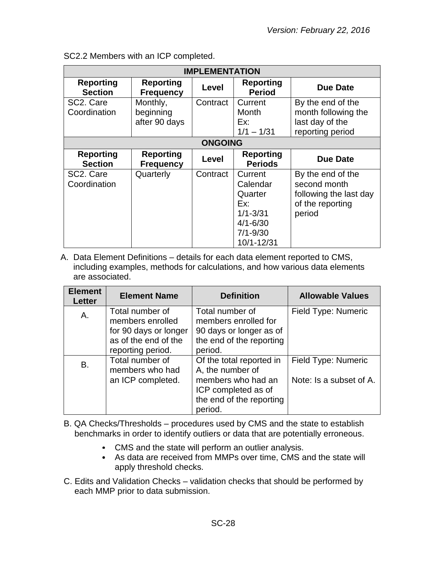| <b>IMPLEMENTATION</b>                  |                                        |          |                                                                                                     |                                                                                           |  |
|----------------------------------------|----------------------------------------|----------|-----------------------------------------------------------------------------------------------------|-------------------------------------------------------------------------------------------|--|
| <b>Reporting</b><br><b>Section</b>     | <b>Reporting</b><br><b>Frequency</b>   | Level    | <b>Reporting</b><br><b>Period</b>                                                                   | Due Date                                                                                  |  |
| SC2. Care<br>Coordination              | Monthly,<br>beginning<br>after 90 days | Contract | Current<br>Month<br>Ex:<br>$1/1 - 1/31$                                                             | By the end of the<br>month following the<br>last day of the<br>reporting period           |  |
|                                        | <b>ONGOING</b>                         |          |                                                                                                     |                                                                                           |  |
| <b>Reporting</b><br><b>Section</b>     | <b>Reporting</b><br><b>Frequency</b>   | Level    | <b>Reporting</b><br><b>Periods</b>                                                                  | Due Date                                                                                  |  |
| SC <sub>2</sub> . Care<br>Coordination | Quarterly                              | Contract | Current<br>Calendar<br>Quarter<br>Ex:<br>$1/1 - 3/31$<br>$4/1 - 6/30$<br>$7/1 - 9/30$<br>10/1-12/31 | By the end of the<br>second month<br>following the last day<br>of the reporting<br>period |  |

SC2.2 Members with an ICP completed.

A. Data Element Definitions – details for each data element reported to CMS, including examples, methods for calculations, and how various data elements are associated.

| <b>Element</b><br><b>Letter</b> | <b>Element Name</b>                                                                                       | <b>Definition</b>                                                                                                                | <b>Allowable Values</b>                        |
|---------------------------------|-----------------------------------------------------------------------------------------------------------|----------------------------------------------------------------------------------------------------------------------------------|------------------------------------------------|
| Α.                              | Total number of<br>members enrolled<br>for 90 days or longer<br>as of the end of the<br>reporting period. | Total number of<br>members enrolled for<br>90 days or longer as of<br>the end of the reporting<br>period.                        | Field Type: Numeric                            |
| B.                              | Total number of<br>members who had<br>an ICP completed.                                                   | Of the total reported in<br>A, the number of<br>members who had an<br>ICP completed as of<br>the end of the reporting<br>period. | Field Type: Numeric<br>Note: Is a subset of A. |

- B. QA Checks/Thresholds procedures used by CMS and the state to establish benchmarks in order to identify outliers or data that are potentially erroneous.
	- CMS and the state will perform an outlier analysis.
	- As data are received from MMPs over time, CMS and the state will apply threshold checks.
- C. Edits and Validation Checks validation checks that should be performed by each MMP prior to data submission.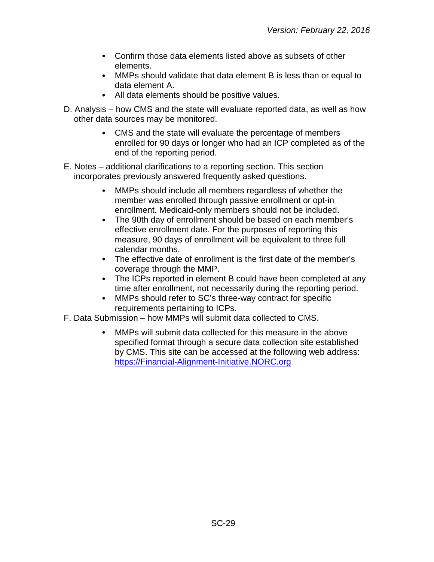- Confirm those data elements listed above as subsets of other elements.
- MMPs should validate that data element B is less than or equal to data element A.
- All data elements should be positive values.
- D. Analysis how CMS and the state will evaluate reported data, as well as how other data sources may be monitored.
	- CMS and the state will evaluate the percentage of members enrolled for 90 days or longer who had an ICP completed as of the end of the reporting period.
- E. Notes additional clarifications to a reporting section. This section incorporates previously answered frequently asked questions.
	- MMPs should include all members regardless of whether the member was enrolled through passive enrollment or opt-in enrollment. Medicaid-only members should not be included.
	- $\bullet$ The 90th day of enrollment should be based on each member's effective enrollment date. For the purposes of reporting this measure, 90 days of enrollment will be equivalent to three full calendar months.
	- The effective date of enrollment is the first date of the member's coverage through the MMP.
	- The ICPs reported in element B could have been completed at any time after enrollment, not necessarily during the reporting period.
	- MMPs should refer to SC's three-way contract for specific  $\bullet$ requirements pertaining to ICPs.
- F. Data Submission how MMPs will submit data collected to CMS.
	- MMPs will submit data collected for this measure in the above specified format through a secure data collection site established by CMS. This site can be accessed at the following web address: [https://Financial-Alignment-Initiative.NORC.org](https://financial-alignment-initiative.norc.org/)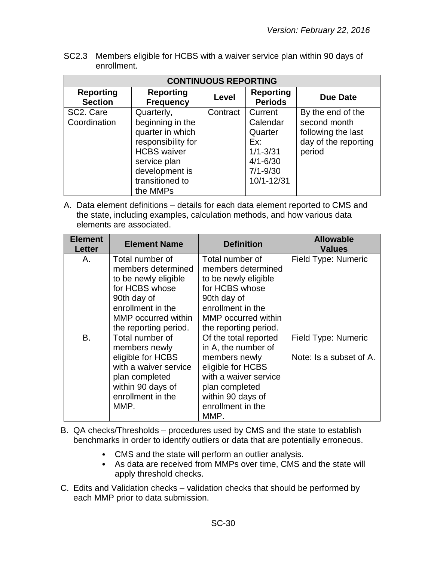SC2.3 Members eligible for HCBS with a waiver service plan within 90 days of enrollment.

| <b>CONTINUOUS REPORTING</b>        |                                      |          |                                    |                      |  |
|------------------------------------|--------------------------------------|----------|------------------------------------|----------------------|--|
| <b>Reporting</b><br><b>Section</b> | <b>Reporting</b><br><b>Frequency</b> | Level    | <b>Reporting</b><br><b>Periods</b> | <b>Due Date</b>      |  |
| SC2. Care                          | Quarterly,                           | Contract | Current                            | By the end of the    |  |
| Coordination                       | beginning in the                     |          | Calendar                           | second month         |  |
|                                    | quarter in which                     |          | Quarter                            | following the last   |  |
|                                    | responsibility for                   |          | Ex:                                | day of the reporting |  |
|                                    | <b>HCBS</b> waiver                   |          | $1/1 - 3/31$                       | period               |  |
|                                    | service plan                         |          | $4/1 - 6/30$                       |                      |  |
|                                    | development is                       |          | $7/1 - 9/30$                       |                      |  |
|                                    | transitioned to                      |          | 10/1-12/31                         |                      |  |
|                                    | the MMPs                             |          |                                    |                      |  |

| <b>Element Name</b>                                                                                                                        | <b>Definition</b>                                                                                                                              | <b>Allowable</b><br><b>Values</b>              |
|--------------------------------------------------------------------------------------------------------------------------------------------|------------------------------------------------------------------------------------------------------------------------------------------------|------------------------------------------------|
| Total number of<br>members determined<br>to be newly eligible<br>for HCBS whose<br>90th day of<br>enrollment in the<br>MMP occurred within | Total number of<br>members determined<br>to be newly eligible<br>for HCBS whose<br>90th day of<br>enrollment in the<br>MMP occurred within     | Field Type: Numeric                            |
| the reporting period.                                                                                                                      | the reporting period.                                                                                                                          |                                                |
| members newly<br>eligible for HCBS<br>with a waiver service<br>plan completed<br>within 90 days of<br>enrollment in the<br>MMP.            | in A, the number of<br>members newly<br>eligible for HCBS<br>with a waiver service<br>plan completed<br>within 90 days of<br>enrollment in the | Field Type: Numeric<br>Note: Is a subset of A. |
|                                                                                                                                            | Total number of                                                                                                                                | Of the total reported<br>MMP.                  |

- B. QA checks/Thresholds procedures used by CMS and the state to establish benchmarks in order to identify outliers or data that are potentially erroneous.
	- CMS and the state will perform an outlier analysis.
	- As data are received from MMPs over time, CMS and the state will apply threshold checks.
- C. Edits and Validation checks validation checks that should be performed by each MMP prior to data submission.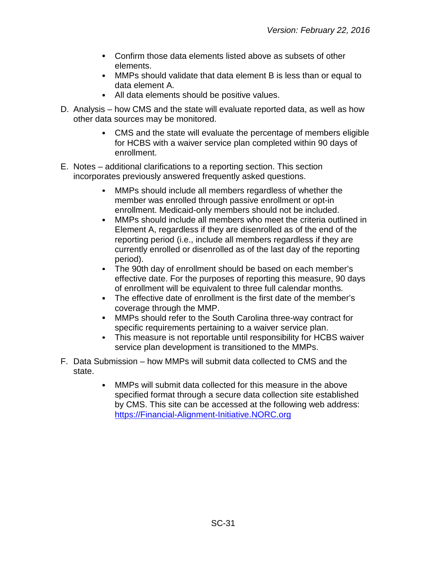- Confirm those data elements listed above as subsets of other elements.
- MMPs should validate that data element B is less than or equal to data element A.
- All data elements should be positive values.
- D. Analysis how CMS and the state will evaluate reported data, as well as how other data sources may be monitored.
	- CMS and the state will evaluate the percentage of members eligible for HCBS with a waiver service plan completed within 90 days of enrollment.
- E. Notes additional clarifications to a reporting section. This section incorporates previously answered frequently asked questions.
	- MMPs should include all members regardless of whether the member was enrolled through passive enrollment or opt-in enrollment. Medicaid-only members should not be included.
	- $\bullet$ MMPs should include all members who meet the criteria outlined in Element A, regardless if they are disenrolled as of the end of the reporting period (i.e., include all members regardless if they are currently enrolled or disenrolled as of the last day of the reporting period).
	- The 90th day of enrollment should be based on each member's effective date. For the purposes of reporting this measure, 90 days of enrollment will be equivalent to three full calendar months.
	- The effective date of enrollment is the first date of the member's coverage through the MMP.
	- $\bullet$ MMPs should refer to the South Carolina three-way contract for specific requirements pertaining to a waiver service plan.
	- This measure is not reportable until responsibility for HCBS waiver service plan development is transitioned to the MMPs.
- F. Data Submission how MMPs will submit data collected to CMS and the state.
	- $\bullet$ MMPs will submit data collected for this measure in the above specified format through a secure data collection site established by CMS. This site can be accessed at the following web address: [https://Financial-Alignment-Initiative.NORC.org](https://financial-alignment-initiative.norc.org/)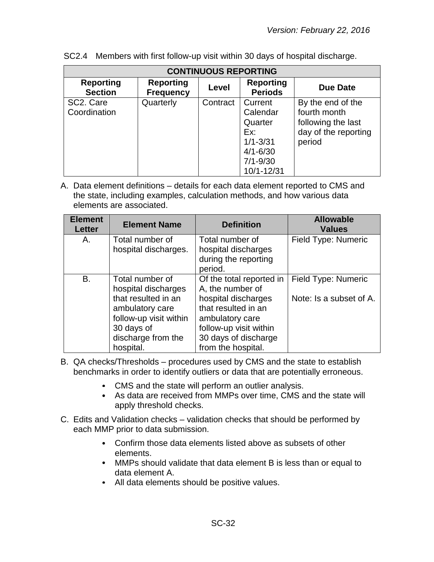| <b>CONTINUOUS REPORTING</b>            |                                      |          |                                                                                                     |                                                                                           |  |
|----------------------------------------|--------------------------------------|----------|-----------------------------------------------------------------------------------------------------|-------------------------------------------------------------------------------------------|--|
| <b>Reporting</b><br><b>Section</b>     | <b>Reporting</b><br><b>Frequency</b> | Level    | <b>Reporting</b><br><b>Periods</b>                                                                  | Due Date                                                                                  |  |
| SC <sub>2</sub> . Care<br>Coordination | Quarterly                            | Contract | Current<br>Calendar<br>Quarter<br>Ex:<br>$1/1 - 3/31$<br>$4/1 - 6/30$<br>$7/1 - 9/30$<br>10/1-12/31 | By the end of the<br>fourth month<br>following the last<br>day of the reporting<br>period |  |

SC2.4 Members with first follow-up visit within 30 days of hospital discharge.

| <b>Element</b><br><b>Letter</b> | <b>Element Name</b>                                                                                                                                         | <b>Definition</b>                                                                                                                                                                     | <b>Allowable</b><br><b>Values</b>              |
|---------------------------------|-------------------------------------------------------------------------------------------------------------------------------------------------------------|---------------------------------------------------------------------------------------------------------------------------------------------------------------------------------------|------------------------------------------------|
| Α.                              | Total number of<br>hospital discharges.                                                                                                                     | Total number of<br>hospital discharges<br>during the reporting<br>period.                                                                                                             | <b>Field Type: Numeric</b>                     |
| B.                              | Total number of<br>hospital discharges<br>that resulted in an<br>ambulatory care<br>follow-up visit within<br>30 days of<br>discharge from the<br>hospital. | Of the total reported in<br>A, the number of<br>hospital discharges<br>that resulted in an<br>ambulatory care<br>follow-up visit within<br>30 days of discharge<br>from the hospital. | Field Type: Numeric<br>Note: Is a subset of A. |

- B. QA checks/Thresholds procedures used by CMS and the state to establish benchmarks in order to identify outliers or data that are potentially erroneous.
	- CMS and the state will perform an outlier analysis.
	- As data are received from MMPs over time, CMS and the state will apply threshold checks.
- C. Edits and Validation checks validation checks that should be performed by each MMP prior to data submission.
	- Confirm those data elements listed above as subsets of other elements.
	- MMPs should validate that data element B is less than or equal to data element A.
	- All data elements should be positive values.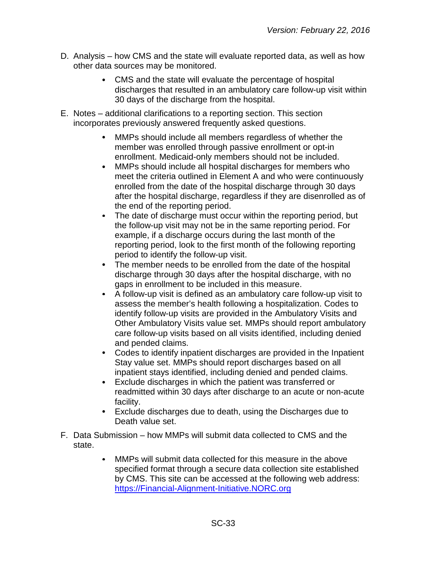- D. Analysis how CMS and the state will evaluate reported data, as well as how other data sources may be monitored.
	- CMS and the state will evaluate the percentage of hospital discharges that resulted in an ambulatory care follow-up visit within 30 days of the discharge from the hospital.
- E. Notes additional clarifications to a reporting section. This section incorporates previously answered frequently asked questions.
	- MMPs should include all members regardless of whether the member was enrolled through passive enrollment or opt-in enrollment. Medicaid-only members should not be included.
	- MMPs should include all hospital discharges for members who  $\bullet$ meet the criteria outlined in Element A and who were continuously enrolled from the date of the hospital discharge through 30 days after the hospital discharge, regardless if they are disenrolled as of the end of the reporting period.
	- The date of discharge must occur within the reporting period, but  $\bullet$ the follow-up visit may not be in the same reporting period. For example, if a discharge occurs during the last month of the reporting period, look to the first month of the following reporting period to identify the follow-up visit.
	- The member needs to be enrolled from the date of the hospital discharge through 30 days after the hospital discharge, with no gaps in enrollment to be included in this measure.
	- A follow-up visit is defined as an ambulatory care follow-up visit to  $\bullet$ assess the member's health following a hospitalization. Codes to identify follow-up visits are provided in the Ambulatory Visits and Other Ambulatory Visits value set. MMPs should report ambulatory care follow-up visits based on all visits identified, including denied and pended claims.
	- Codes to identify inpatient discharges are provided in the Inpatient  $\bullet$ Stay value set. MMPs should report discharges based on all inpatient stays identified, including denied and pended claims.
	- Exclude discharges in which the patient was transferred or  $\bullet$ readmitted within 30 days after discharge to an acute or non-acute facility.
	- Exclude discharges due to death, using the Discharges due to  $\bullet$ Death value set.
- F. Data Submission how MMPs will submit data collected to CMS and the state.
	- MMPs will submit data collected for this measure in the above  $\bullet$ specified format through a secure data collection site established by CMS. This site can be accessed at the following web address: [https://Financial-Alignment-Initiative.NORC.org](https://financial-alignment-initiative.norc.org/)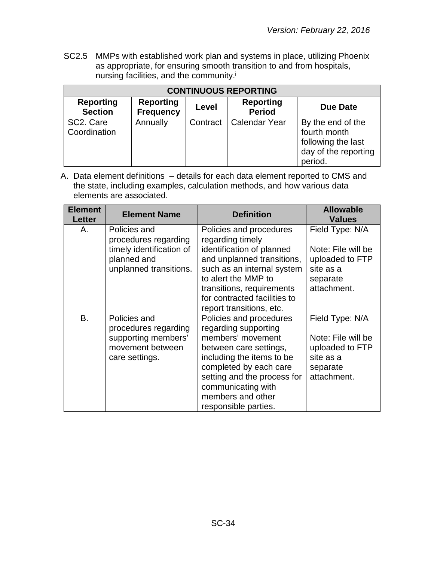SC2.5 MMPs with established work plan and systems in place, utilizing Phoenix as appropriate, for ensuring smooth transition to and from hospitals, nursing facilities, and the community.i

| <b>CONTINUOUS REPORTING</b>        |                                      |          |                                   |                                                                                            |  |
|------------------------------------|--------------------------------------|----------|-----------------------------------|--------------------------------------------------------------------------------------------|--|
| <b>Reporting</b><br><b>Section</b> | <b>Reporting</b><br><b>Frequency</b> | Level    | <b>Reporting</b><br><b>Period</b> | <b>Due Date</b>                                                                            |  |
| SC2. Care<br>Coordination          | Annually                             | Contract | Calendar Year                     | By the end of the<br>fourth month<br>following the last<br>day of the reporting<br>period. |  |

| <b>Element</b><br><b>Letter</b> | <b>Element Name</b>                                               | <b>Definition</b>                                                                     | <b>Allowable</b><br><b>Values</b>                  |
|---------------------------------|-------------------------------------------------------------------|---------------------------------------------------------------------------------------|----------------------------------------------------|
| Α.                              | Policies and<br>procedures regarding                              | Policies and procedures<br>regarding timely                                           | Field Type: N/A                                    |
|                                 | timely identification of<br>planned and<br>unplanned transitions. | identification of planned<br>and unplanned transitions,<br>such as an internal system | Note: File will be<br>uploaded to FTP<br>site as a |
|                                 |                                                                   | to alert the MMP to                                                                   | separate                                           |
|                                 |                                                                   | transitions, requirements<br>for contracted facilities to<br>report transitions, etc. | attachment.                                        |
| В.                              | Policies and<br>procedures regarding                              | Policies and procedures<br>regarding supporting                                       | Field Type: N/A                                    |
|                                 | supporting members'<br>movement between                           | members' movement<br>between care settings,                                           | Note: File will be<br>uploaded to FTP              |
|                                 | care settings.                                                    | including the items to be<br>completed by each care                                   | site as a<br>separate                              |
|                                 |                                                                   | setting and the process for<br>communicating with                                     | attachment.                                        |
|                                 |                                                                   | members and other<br>responsible parties.                                             |                                                    |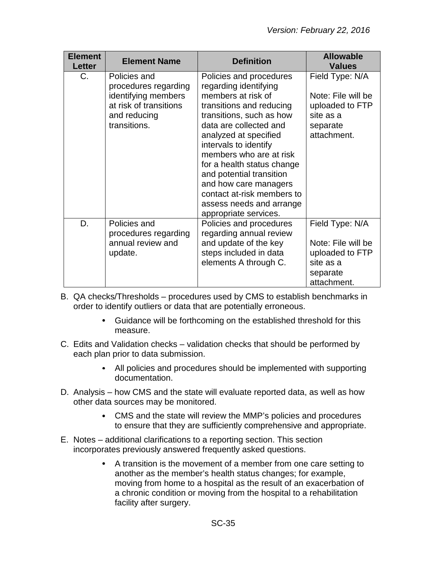| <b>Element</b><br><b>Letter</b> | <b>Element Name</b>                                                                                                   | <b>Definition</b>                                                                                                                                                                                                                                                                                                                                                                                           | <b>Allowable</b><br><b>Values</b>                                                                |
|---------------------------------|-----------------------------------------------------------------------------------------------------------------------|-------------------------------------------------------------------------------------------------------------------------------------------------------------------------------------------------------------------------------------------------------------------------------------------------------------------------------------------------------------------------------------------------------------|--------------------------------------------------------------------------------------------------|
| $C_{\cdot}$                     | Policies and<br>procedures regarding<br>identifying members<br>at risk of transitions<br>and reducing<br>transitions. | Policies and procedures<br>regarding identifying<br>members at risk of<br>transitions and reducing<br>transitions, such as how<br>data are collected and<br>analyzed at specified<br>intervals to identify<br>members who are at risk<br>for a health status change<br>and potential transition<br>and how care managers<br>contact at-risk members to<br>assess needs and arrange<br>appropriate services. | Field Type: N/A<br>Note: File will be<br>uploaded to FTP<br>site as a<br>separate<br>attachment. |
| D.                              | Policies and<br>procedures regarding<br>annual review and<br>update.                                                  | Policies and procedures<br>regarding annual review<br>and update of the key<br>steps included in data<br>elements A through C.                                                                                                                                                                                                                                                                              | Field Type: N/A<br>Note: File will be<br>uploaded to FTP<br>site as a<br>separate<br>attachment. |

- B. QA checks/Thresholds procedures used by CMS to establish benchmarks in order to identify outliers or data that are potentially erroneous.
	- Guidance will be forthcoming on the established threshold for this measure.
- C. Edits and Validation checks validation checks that should be performed by each plan prior to data submission.
	- All policies and procedures should be implemented with supporting documentation.
- D. Analysis how CMS and the state will evaluate reported data, as well as how other data sources may be monitored.
	- CMS and the state will review the MMP's policies and procedures  $\bullet$ to ensure that they are sufficiently comprehensive and appropriate.
- E. Notes additional clarifications to a reporting section. This section incorporates previously answered frequently asked questions.
	- A transition is the movement of a member from one care setting to another as the member's health status changes; for example, moving from home to a hospital as the result of an exacerbation of a chronic condition or moving from the hospital to a rehabilitation facility after surgery.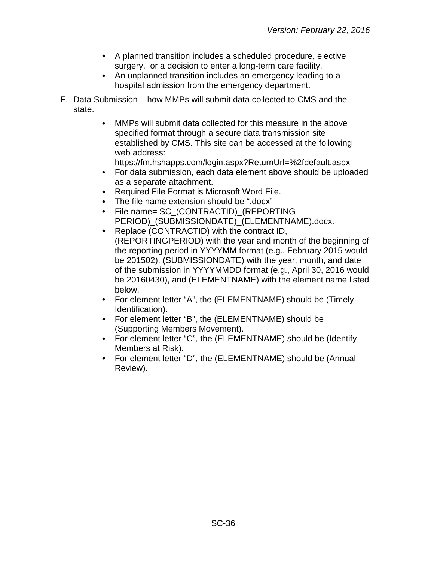- A planned transition includes a scheduled procedure, elective surgery, or a decision to enter a long-term care facility.
- $\bullet$ An unplanned transition includes an emergency leading to a hospital admission from the emergency department.
- F. Data Submission how MMPs will submit data collected to CMS and the state.
	- $\bullet$ MMPs will submit data collected for this measure in the above specified format through a secure data transmission site established by CMS. This site can be accessed at the following web address:
		- https://fm.hshapps.com/login.aspx?ReturnUrl=%2fdefault.aspx
	- For data submission, each data element above should be uploaded  $\bullet$ as a separate attachment.
	- $\bullet$ Required File Format is Microsoft Word File.
	- The file name extension should be ".docx"
	- $\bullet$ File name= SC\_(CONTRACTID)\_(REPORTING PERIOD)\_(SUBMISSIONDATE)\_(ELEMENTNAME).docx.
	- $\bullet$ Replace (CONTRACTID) with the contract ID, (REPORTINGPERIOD) with the year and month of the beginning of the reporting period in YYYYMM format (e.g., February 2015 would be 201502), (SUBMISSIONDATE) with the year, month, and date of the submission in YYYYMMDD format (e.g., April 30, 2016 would be 20160430), and (ELEMENTNAME) with the element name listed below.
	- For element letter "A", the (ELEMENTNAME) should be (Timely  $\bullet$ Identification).
	- $\bullet$ For element letter "B", the (ELEMENTNAME) should be (Supporting Members Movement).
	- For element letter "C", the (ELEMENTNAME) should be (Identify Members at Risk).
	- $\bullet$ For element letter "D", the (ELEMENTNAME) should be (Annual Review).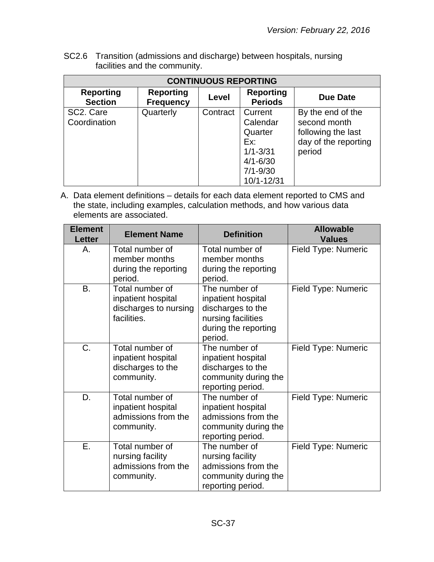SC2.6 Transition (admissions and discharge) between hospitals, nursing facilities and the community.

| <b>CONTINUOUS REPORTING</b>        |                                      |          |                                                                                                     |                                                                                           |  |
|------------------------------------|--------------------------------------|----------|-----------------------------------------------------------------------------------------------------|-------------------------------------------------------------------------------------------|--|
| <b>Reporting</b><br><b>Section</b> | <b>Reporting</b><br><b>Frequency</b> | Level    | <b>Reporting</b><br><b>Periods</b>                                                                  | <b>Due Date</b>                                                                           |  |
| SC2. Care<br>Coordination          | Quarterly                            | Contract | Current<br>Calendar<br>Quarter<br>Ex:<br>$1/1 - 3/31$<br>$4/1 - 6/30$<br>$7/1 - 9/30$<br>10/1-12/31 | By the end of the<br>second month<br>following the last<br>day of the reporting<br>period |  |

| <b>Element</b><br><b>Letter</b> | <b>Element Name</b>                                                           | <b>Definition</b>                                                                                                 | <b>Allowable</b><br><b>Values</b> |
|---------------------------------|-------------------------------------------------------------------------------|-------------------------------------------------------------------------------------------------------------------|-----------------------------------|
| Α.                              | Total number of<br>member months<br>during the reporting<br>period.           | Total number of<br>member months<br>during the reporting<br>period.                                               | Field Type: Numeric               |
| <b>B.</b>                       | Total number of<br>inpatient hospital<br>discharges to nursing<br>facilities. | The number of<br>inpatient hospital<br>discharges to the<br>nursing facilities<br>during the reporting<br>period. | Field Type: Numeric               |
| C.                              | Total number of<br>inpatient hospital<br>discharges to the<br>community.      | The number of<br>inpatient hospital<br>discharges to the<br>community during the<br>reporting period.             | Field Type: Numeric               |
| D.                              | Total number of<br>inpatient hospital<br>admissions from the<br>community.    | The number of<br>inpatient hospital<br>admissions from the<br>community during the<br>reporting period.           | Field Type: Numeric               |
| Ε.                              | Total number of<br>nursing facility<br>admissions from the<br>community.      | The number of<br>nursing facility<br>admissions from the<br>community during the<br>reporting period.             | Field Type: Numeric               |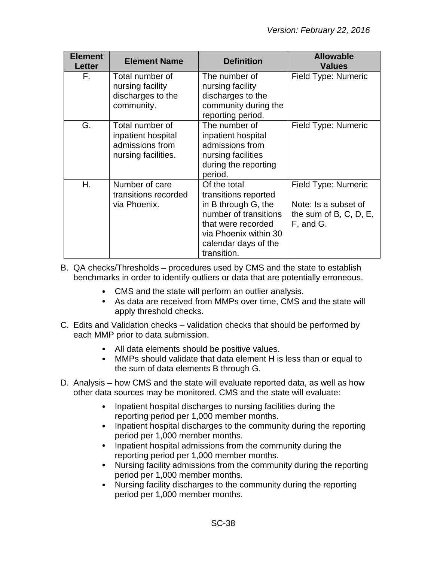| <b>Element</b><br><b>Letter</b> | <b>Element Name</b>                                                             | <b>Definition</b>                                                                                                                                                          | <b>Allowable</b><br><b>Values</b>                                                     |
|---------------------------------|---------------------------------------------------------------------------------|----------------------------------------------------------------------------------------------------------------------------------------------------------------------------|---------------------------------------------------------------------------------------|
| F.                              | Total number of<br>nursing facility<br>discharges to the<br>community.          | The number of<br>nursing facility<br>discharges to the<br>community during the<br>reporting period.                                                                        | Field Type: Numeric                                                                   |
| G.                              | Total number of<br>inpatient hospital<br>admissions from<br>nursing facilities. | The number of<br>inpatient hospital<br>admissions from<br>nursing facilities<br>during the reporting<br>period.                                                            | Field Type: Numeric                                                                   |
| Η.                              | Number of care<br>transitions recorded<br>via Phoenix.                          | Of the total<br>transitions reported<br>in B through G, the<br>number of transitions<br>that were recorded<br>via Phoenix within 30<br>calendar days of the<br>transition. | Field Type: Numeric<br>Note: Is a subset of<br>the sum of $B, C, D, E$ ,<br>F, and G. |

- B. QA checks/Thresholds procedures used by CMS and the state to establish benchmarks in order to identify outliers or data that are potentially erroneous.
	- CMS and the state will perform an outlier analysis.
	- As data are received from MMPs over time, CMS and the state will apply threshold checks.
- C. Edits and Validation checks validation checks that should be performed by each MMP prior to data submission.
	- All data elements should be positive values.
	- MMPs should validate that data element H is less than or equal to the sum of data elements B through G.
- D. Analysis how CMS and the state will evaluate reported data, as well as how other data sources may be monitored. CMS and the state will evaluate:
	- $\bullet$ Inpatient hospital discharges to nursing facilities during the reporting period per 1,000 member months.
	- $\bullet$ Inpatient hospital discharges to the community during the reporting period per 1,000 member months.
	- $\bullet$ Inpatient hospital admissions from the community during the reporting period per 1,000 member months.
	- $\bullet$ Nursing facility admissions from the community during the reporting period per 1,000 member months.
	- Nursing facility discharges to the community during the reporting period per 1,000 member months.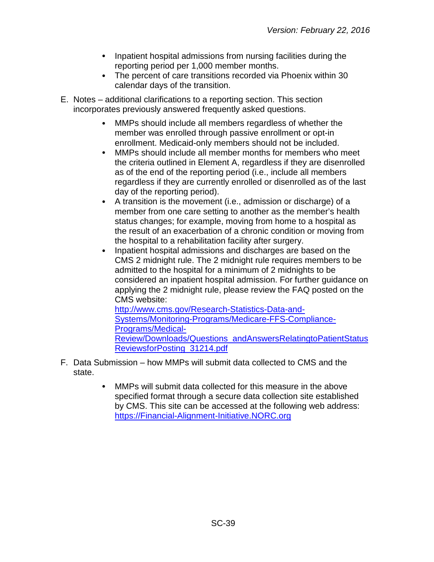- $\bullet$ Inpatient hospital admissions from nursing facilities during the reporting period per 1,000 member months.
- The percent of care transitions recorded via Phoenix within 30  $\bullet$ calendar days of the transition.
- E. Notes additional clarifications to a reporting section. This section incorporates previously answered frequently asked questions.
	- MMPs should include all members regardless of whether the member was enrolled through passive enrollment or opt-in enrollment. Medicaid-only members should not be included.
	- $\bullet$ MMPs should include all member months for members who meet the criteria outlined in Element A, regardless if they are disenrolled as of the end of the reporting period (i.e., include all members regardless if they are currently enrolled or disenrolled as of the last day of the reporting period).
	- A transition is the movement (i.e., admission or discharge) of a member from one care setting to another as the member's health status changes; for example, moving from home to a hospital as the result of an exacerbation of a chronic condition or moving from the hospital to a rehabilitation facility after surgery.
	- Inpatient hospital admissions and discharges are based on the  $\bullet$ CMS 2 midnight rule. The 2 midnight rule requires members to be admitted to the hospital for a minimum of 2 midnights to be considered an inpatient hospital admission. For further guidance on applying the 2 midnight rule, please review the FAQ posted on the CMS website:

[http://www.cms.gov/Research-Statistics-Data-and-](http://www.cms.gov/Research-Statistics-Data-and-Systems/Monitoring-Programs/Medicare-FFS-Compliance-Programs/Medical-Review/Downloads/Questions_andAnswersRelatingtoPatientStatusReviewsforPosting_31214.pdf)[Systems/Monitoring-Programs/Medicare-FFS-Compliance-](http://www.cms.gov/Research-Statistics-Data-and-Systems/Monitoring-Programs/Medicare-FFS-Compliance-Programs/Medical-Review/Downloads/Questions_andAnswersRelatingtoPatientStatusReviewsforPosting_31214.pdf)[Programs/Medical-](http://www.cms.gov/Research-Statistics-Data-and-Systems/Monitoring-Programs/Medicare-FFS-Compliance-Programs/Medical-Review/Downloads/Questions_andAnswersRelatingtoPatientStatusReviewsforPosting_31214.pdf)[Review/Downloads/Questions\\_andAnswersRelatingtoPatientStatus](http://www.cms.gov/Research-Statistics-Data-and-Systems/Monitoring-Programs/Medicare-FFS-Compliance-Programs/Medical-Review/Downloads/Questions_andAnswersRelatingtoPatientStatusReviewsforPosting_31214.pdf) [ReviewsforPosting\\_31214.pdf](http://www.cms.gov/Research-Statistics-Data-and-Systems/Monitoring-Programs/Medicare-FFS-Compliance-Programs/Medical-Review/Downloads/Questions_andAnswersRelatingtoPatientStatusReviewsforPosting_31214.pdf)

- F. Data Submission how MMPs will submit data collected to CMS and the state.
	- $\bullet$ MMPs will submit data collected for this measure in the above specified format through a secure data collection site established by CMS. This site can be accessed at the following web address: [https://Financial-Alignment-Initiative.NORC.org](https://financial-alignment-initiative.norc.org/)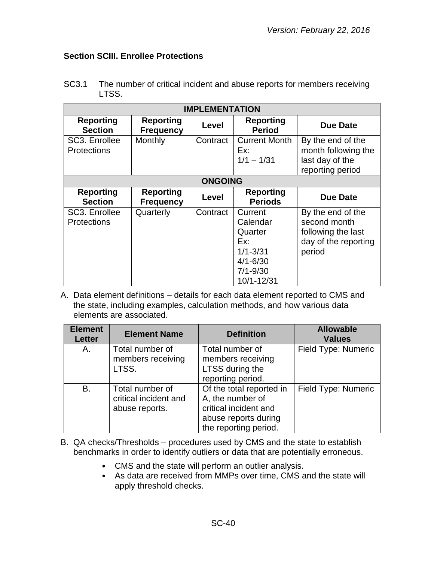# <span id="page-39-0"></span>**Section SCIII. Enrollee Protections**

| SC3.1 | The number of critical incident and abuse reports for members receiving |
|-------|-------------------------------------------------------------------------|
|       | LTSS.                                                                   |

| <b>IMPLEMENTATION</b>               |                                      |          |                                                                                                     |                                                                                           |  |
|-------------------------------------|--------------------------------------|----------|-----------------------------------------------------------------------------------------------------|-------------------------------------------------------------------------------------------|--|
| <b>Reporting</b><br><b>Section</b>  | <b>Reporting</b><br><b>Frequency</b> | Level    | <b>Reporting</b><br><b>Period</b>                                                                   | <b>Due Date</b>                                                                           |  |
| SC3. Enrollee<br><b>Protections</b> | Monthly                              | Contract | <b>Current Month</b><br>Ex:<br>$1/1 - 1/31$                                                         | By the end of the<br>month following the<br>last day of the<br>reporting period           |  |
| <b>ONGOING</b>                      |                                      |          |                                                                                                     |                                                                                           |  |
| <b>Reporting</b><br><b>Section</b>  | <b>Reporting</b><br><b>Frequency</b> | Level    | <b>Reporting</b><br><b>Periods</b>                                                                  | <b>Due Date</b>                                                                           |  |
| SC3. Enrollee<br><b>Protections</b> | Quarterly                            | Contract | Current<br>Calendar<br>Quarter<br>Ex:<br>$1/1 - 3/31$<br>$4/1 - 6/30$<br>$7/1 - 9/30$<br>10/1-12/31 | By the end of the<br>second month<br>following the last<br>day of the reporting<br>period |  |

| <b>Element</b><br><b>Letter</b> | <b>Element Name</b>                                        | <b>Definition</b>                                                                                                      | <b>Allowable</b><br><b>Values</b> |
|---------------------------------|------------------------------------------------------------|------------------------------------------------------------------------------------------------------------------------|-----------------------------------|
| A.                              | Total number of<br>members receiving<br>LTSS.              | Total number of<br>members receiving<br>LTSS during the<br>reporting period.                                           | Field Type: Numeric               |
| B.                              | Total number of<br>critical incident and<br>abuse reports. | Of the total reported in<br>A, the number of<br>critical incident and<br>abuse reports during<br>the reporting period. | Field Type: Numeric               |

- B. QA checks/Thresholds procedures used by CMS and the state to establish benchmarks in order to identify outliers or data that are potentially erroneous.
	- CMS and the state will perform an outlier analysis.
	- As data are received from MMPs over time, CMS and the state will apply threshold checks.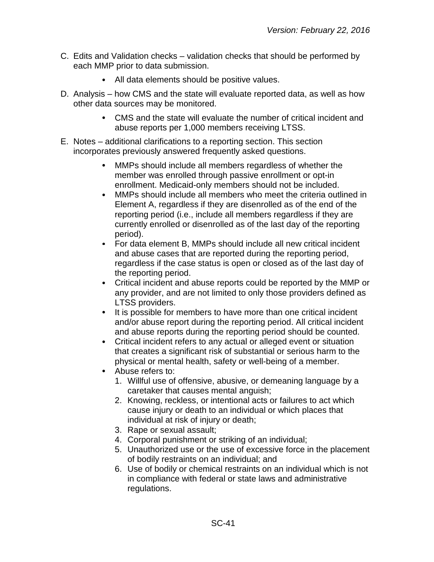- C. Edits and Validation checks validation checks that should be performed by each MMP prior to data submission.
	- $\bullet$ All data elements should be positive values.
- D. Analysis how CMS and the state will evaluate reported data, as well as how other data sources may be monitored.
	- $\bullet$ CMS and the state will evaluate the number of critical incident and abuse reports per 1,000 members receiving LTSS.
- E. Notes additional clarifications to a reporting section. This section incorporates previously answered frequently asked questions.
	- $\bullet$ MMPs should include all members regardless of whether the member was enrolled through passive enrollment or opt-in enrollment. Medicaid-only members should not be included.
	- $\bullet$ MMPs should include all members who meet the criteria outlined in Element A, regardless if they are disenrolled as of the end of the reporting period (i.e., include all members regardless if they are currently enrolled or disenrolled as of the last day of the reporting period).
	- For data element B, MMPs should include all new critical incident and abuse cases that are reported during the reporting period, regardless if the case status is open or closed as of the last day of the reporting period.
	- $\bullet$ Critical incident and abuse reports could be reported by the MMP or any provider, and are not limited to only those providers defined as LTSS providers.
	- $\bullet$ It is possible for members to have more than one critical incident and/or abuse report during the reporting period. All critical incident and abuse reports during the reporting period should be counted.
	- $\bullet$ Critical incident refers to any actual or alleged event or situation that creates a significant risk of substantial or serious harm to the physical or mental health, safety or well-being of a member.
	- Abuse refers to:
		- 1. Willful use of offensive, abusive, or demeaning language by a caretaker that causes mental anguish;
		- 2. Knowing, reckless, or intentional acts or failures to act which cause injury or death to an individual or which places that individual at risk of injury or death;
		- 3. Rape or sexual assault;
		- 4. Corporal punishment or striking of an individual;
		- 5. Unauthorized use or the use of excessive force in the placement of bodily restraints on an individual; and
		- 6. Use of bodily or chemical restraints on an individual which is not in compliance with federal or state laws and administrative regulations.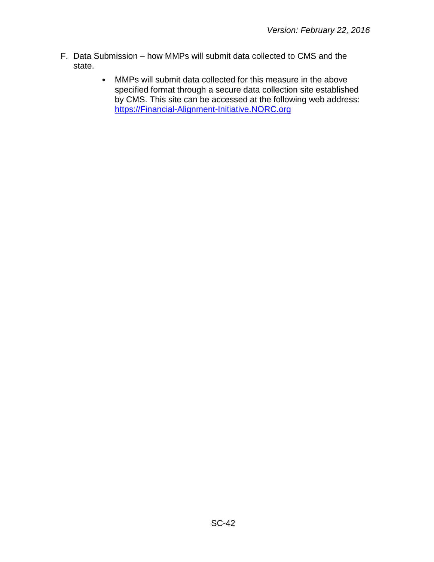- F. Data Submission how MMPs will submit data collected to CMS and the state.
	- $\bullet$ MMPs will submit data collected for this measure in the above specified format through a secure data collection site established by CMS. This site can be accessed at the following web address: [https://Financial-Alignment-Initiative.NORC.org](https://financial-alignment-initiative.norc.org/)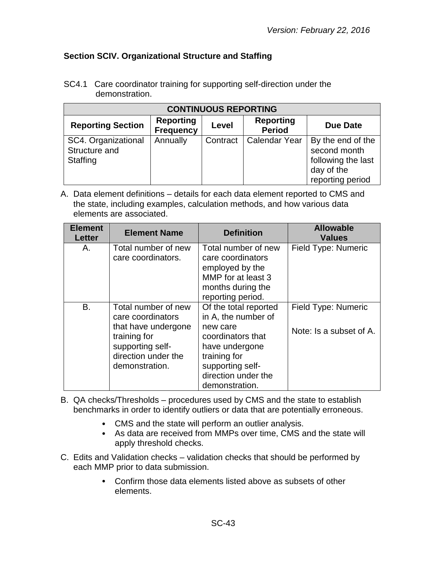# <span id="page-42-0"></span>**Section SCIV. Organizational Structure and Staffing**

| <b>CONTINUOUS REPORTING</b>                      |                                      |          |                                   |                                                                                           |
|--------------------------------------------------|--------------------------------------|----------|-----------------------------------|-------------------------------------------------------------------------------------------|
| <b>Reporting Section</b>                         | <b>Reporting</b><br><b>Frequency</b> | Level    | <b>Reporting</b><br><b>Period</b> | <b>Due Date</b>                                                                           |
| SC4. Organizational<br>Structure and<br>Staffing | Annually                             | Contract | Calendar Year                     | By the end of the<br>second month<br>following the last<br>day of the<br>reporting period |

SC4.1 Care coordinator training for supporting self-direction under the demonstration.

| <b>Element</b><br><b>Letter</b> | <b>Element Name</b>                                                                                                                          | <b>Definition</b>                                                                                                                                                            | <b>Allowable</b><br><b>Values</b>              |
|---------------------------------|----------------------------------------------------------------------------------------------------------------------------------------------|------------------------------------------------------------------------------------------------------------------------------------------------------------------------------|------------------------------------------------|
| Α.                              | Total number of new<br>care coordinators.                                                                                                    | Total number of new<br>care coordinators<br>employed by the<br>MMP for at least 3<br>months during the<br>reporting period.                                                  | Field Type: Numeric                            |
| В.                              | Total number of new<br>care coordinators<br>that have undergone<br>training for<br>supporting self-<br>direction under the<br>demonstration. | Of the total reported<br>in A, the number of<br>new care<br>coordinators that<br>have undergone<br>training for<br>supporting self-<br>direction under the<br>demonstration. | Field Type: Numeric<br>Note: Is a subset of A. |

- B. QA checks/Thresholds procedures used by CMS and the state to establish benchmarks in order to identify outliers or data that are potentially erroneous.
	- CMS and the state will perform an outlier analysis.
	- As data are received from MMPs over time, CMS and the state will apply threshold checks.
- C. Edits and Validation checks validation checks that should be performed by each MMP prior to data submission.
	- Confirm those data elements listed above as subsets of other  $\bullet$ elements.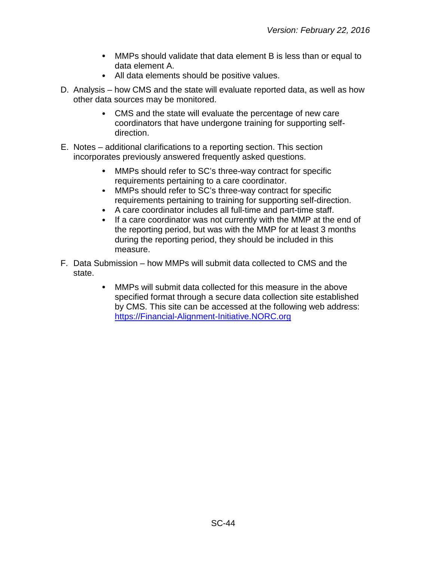- MMPs should validate that data element B is less than or equal to data element A.
- All data elements should be positive values.
- D. Analysis how CMS and the state will evaluate reported data, as well as how other data sources may be monitored.
	- CMS and the state will evaluate the percentage of new care coordinators that have undergone training for supporting selfdirection.
- E. Notes additional clarifications to a reporting section. This section incorporates previously answered frequently asked questions.
	- $\bullet$ MMPs should refer to SC's three-way contract for specific requirements pertaining to a care coordinator.
	- $\bullet$ MMPs should refer to SC's three-way contract for specific requirements pertaining to training for supporting self-direction.
	- A care coordinator includes all full-time and part-time staff.  $\bullet$
	- $\bullet$ If a care coordinator was not currently with the MMP at the end of the reporting period, but was with the MMP for at least 3 months during the reporting period, they should be included in this measure.
- F. Data Submission how MMPs will submit data collected to CMS and the state.
	- MMPs will submit data collected for this measure in the above  $\bullet$ specified format through a secure data collection site established by CMS. This site can be accessed at the following web address: [https://Financial-Alignment-Initiative.NORC.org](https://financial-alignment-initiative.norc.org/)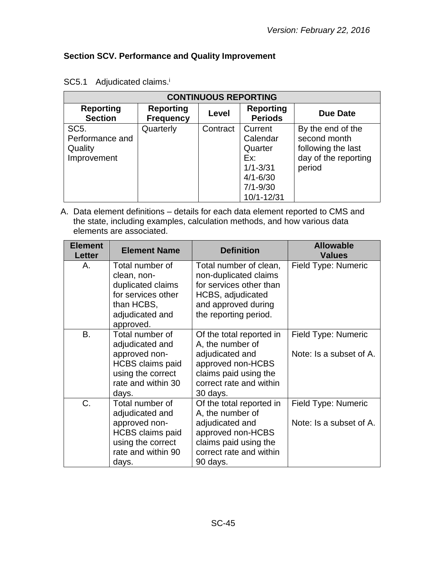# <span id="page-44-0"></span>**Section SCV. Performance and Quality Improvement**

| <b>CONTINUOUS REPORTING</b>        |                                      |          |                                    |                      |  |
|------------------------------------|--------------------------------------|----------|------------------------------------|----------------------|--|
| <b>Reporting</b><br><b>Section</b> | <b>Reporting</b><br><b>Frequency</b> | Level    | <b>Reporting</b><br><b>Periods</b> | Due Date             |  |
| SC <sub>5</sub> .                  | Quarterly                            | Contract | Current                            | By the end of the    |  |
| Performance and                    |                                      |          | Calendar                           | second month         |  |
| Quality                            |                                      |          | Quarter                            | following the last   |  |
| Improvement                        |                                      |          | Ex:                                | day of the reporting |  |
|                                    |                                      |          | $1/1 - 3/31$                       | period               |  |
|                                    |                                      |          | $4/1 - 6/30$                       |                      |  |
|                                    |                                      |          | $7/1 - 9/30$                       |                      |  |
|                                    |                                      |          | 10/1-12/31                         |                      |  |

# SC5.1 Adjudicated claims.<sup>i</sup>

| <b>Element</b><br><b>Letter</b> | <b>Element Name</b>                                                                                                                | <b>Definition</b>                                                                                                                                    | <b>Allowable</b><br><b>Values</b>              |
|---------------------------------|------------------------------------------------------------------------------------------------------------------------------------|------------------------------------------------------------------------------------------------------------------------------------------------------|------------------------------------------------|
| А.                              | Total number of<br>clean, non-<br>duplicated claims<br>for services other<br>than HCBS,<br>adjudicated and<br>approved.            | Total number of clean,<br>non-duplicated claims<br>for services other than<br>HCBS, adjudicated<br>and approved during<br>the reporting period.      | Field Type: Numeric                            |
| <b>B.</b>                       | Total number of<br>adjudicated and<br>approved non-<br><b>HCBS</b> claims paid<br>using the correct<br>rate and within 30<br>days. | Of the total reported in<br>A, the number of<br>adjudicated and<br>approved non-HCBS<br>claims paid using the<br>correct rate and within<br>30 days. | Field Type: Numeric<br>Note: Is a subset of A. |
| C.                              | Total number of<br>adjudicated and<br>approved non-<br><b>HCBS</b> claims paid<br>using the correct<br>rate and within 90<br>days. | Of the total reported in<br>A, the number of<br>adjudicated and<br>approved non-HCBS<br>claims paid using the<br>correct rate and within<br>90 days. | Field Type: Numeric<br>Note: Is a subset of A. |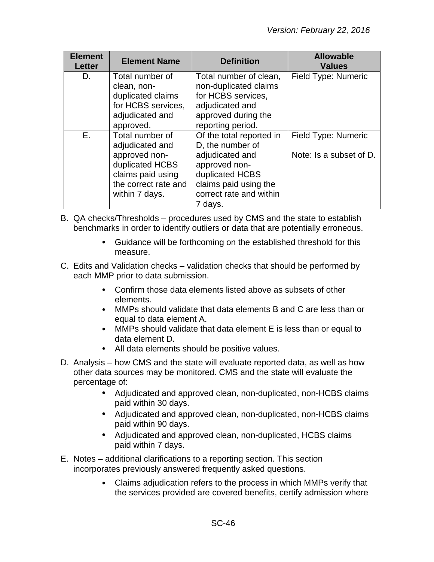| <b>Element</b><br><b>Letter</b> | <b>Element Name</b>  | <b>Definition</b>        | <b>Allowable</b><br><b>Values</b> |
|---------------------------------|----------------------|--------------------------|-----------------------------------|
| D.                              | Total number of      | Total number of clean,   | Field Type: Numeric               |
|                                 | clean, non-          | non-duplicated claims    |                                   |
|                                 | duplicated claims    | for HCBS services,       |                                   |
|                                 | for HCBS services,   | adjudicated and          |                                   |
|                                 | adjudicated and      | approved during the      |                                   |
|                                 | approved.            | reporting period.        |                                   |
| E.                              | Total number of      | Of the total reported in | Field Type: Numeric               |
|                                 | adjudicated and      | D, the number of         |                                   |
|                                 | approved non-        | adjudicated and          | Note: Is a subset of D.           |
|                                 | duplicated HCBS      | approved non-            |                                   |
|                                 | claims paid using    | duplicated HCBS          |                                   |
|                                 | the correct rate and | claims paid using the    |                                   |
|                                 | within 7 days.       | correct rate and within  |                                   |
|                                 |                      | 7 days.                  |                                   |

- B. QA checks/Thresholds procedures used by CMS and the state to establish benchmarks in order to identify outliers or data that are potentially erroneous.
	- Guidance will be forthcoming on the established threshold for this measure.
- C. Edits and Validation checks validation checks that should be performed by each MMP prior to data submission.
	- Confirm those data elements listed above as subsets of other  $\bullet$ elements.
	- MMPs should validate that data elements B and C are less than or equal to data element A.
	- MMPs should validate that data element E is less than or equal to data element D.
	- All data elements should be positive values.
- D. Analysis how CMS and the state will evaluate reported data, as well as how other data sources may be monitored. CMS and the state will evaluate the percentage of:
	- Adjudicated and approved clean, non-duplicated, non-HCBS claims paid within 30 days.
	- Adjudicated and approved clean, non-duplicated, non-HCBS claims paid within 90 days.
	- Adjudicated and approved clean, non-duplicated, HCBS claims paid within 7 days.
- E. Notes additional clarifications to a reporting section. This section incorporates previously answered frequently asked questions.
	- Claims adjudication refers to the process in which MMPs verify that  $\bullet$ the services provided are covered benefits, certify admission where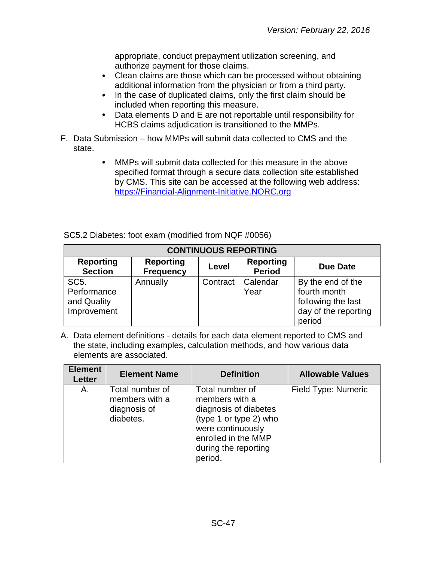appropriate, conduct prepayment utilization screening, and authorize payment for those claims.

- Clean claims are those which can be processed without obtaining  $\bullet$ additional information from the physician or from a third party.
- In the case of duplicated claims, only the first claim should be  $\bullet$ included when reporting this measure.
- Data elements D and E are not reportable until responsibility for  $\bullet$ HCBS claims adjudication is transitioned to the MMPs.
- F. Data Submission how MMPs will submit data collected to CMS and the state.
	- MMPs will submit data collected for this measure in the above  $\bullet$ specified format through a secure data collection site established by CMS. This site can be accessed at the following web address: [https://Financial-Alignment-Initiative.NORC.org](https://financial-alignment-initiative.norc.org/)

| SC5.2 Diabetes: foot exam (modified from NQF #0056) |  |
|-----------------------------------------------------|--|
|-----------------------------------------------------|--|

| <b>CONTINUOUS REPORTING</b>                                    |                                      |          |                                   |                                                                                           |  |
|----------------------------------------------------------------|--------------------------------------|----------|-----------------------------------|-------------------------------------------------------------------------------------------|--|
| <b>Reporting</b><br><b>Section</b>                             | <b>Reporting</b><br><b>Frequency</b> | Level    | <b>Reporting</b><br><b>Period</b> | <b>Due Date</b>                                                                           |  |
| SC <sub>5</sub> .<br>Performance<br>and Quality<br>Improvement | Annually                             | Contract | Calendar<br>Year                  | By the end of the<br>fourth month<br>following the last<br>day of the reporting<br>period |  |

| <b>Element</b><br><b>Letter</b> | <b>Element Name</b>                                            | <b>Definition</b>                                                                                                                                                   | <b>Allowable Values</b> |
|---------------------------------|----------------------------------------------------------------|---------------------------------------------------------------------------------------------------------------------------------------------------------------------|-------------------------|
| Α.                              | Total number of<br>members with a<br>diagnosis of<br>diabetes. | Total number of<br>members with a<br>diagnosis of diabetes<br>(type 1 or type 2) who<br>were continuously<br>enrolled in the MMP<br>during the reporting<br>period. | Field Type: Numeric     |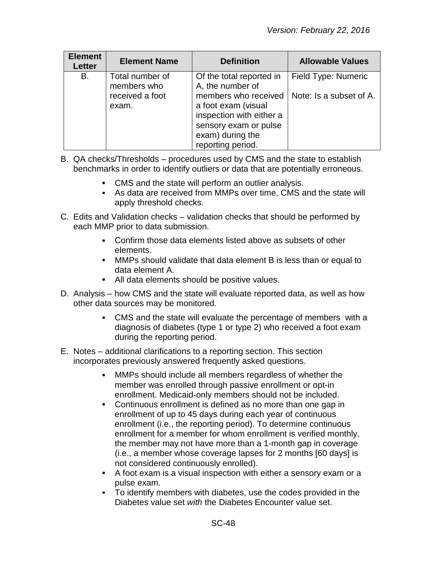| <b>Element</b><br>Letter | <b>Element Name</b>            | <b>Definition</b>                                                                                                                         | <b>Allowable Values</b> |
|--------------------------|--------------------------------|-------------------------------------------------------------------------------------------------------------------------------------------|-------------------------|
| Β.                       | Total number of<br>members who | Of the total reported in<br>A, the number of                                                                                              | Field Type: Numeric     |
|                          | received a foot<br>exam.       | members who received<br>a foot exam (visual<br>inspection with either a<br>sensory exam or pulse<br>exam) during the<br>reporting period. | Note: Is a subset of A. |

- B. QA checks/Thresholds procedures used by CMS and the state to establish benchmarks in order to identify outliers or data that are potentially erroneous.
	- CMS and the state will perform an outlier analysis.
	- As data are received from MMPs over time, CMS and the state will apply threshold checks.
- C. Edits and Validation checks validation checks that should be performed by each MMP prior to data submission.
	- Confirm those data elements listed above as subsets of other elements.
	- MMPs should validate that data element B is less than or equal to data element A.
	- All data elements should be positive values.
- D. Analysis how CMS and the state will evaluate reported data, as well as how other data sources may be monitored.
	- CMS and the state will evaluate the percentage of members with a diagnosis of diabetes (type 1 or type 2) who received a foot exam during the reporting period.
- E. Notes additional clarifications to a reporting section. This section incorporates previously answered frequently asked questions.
	- MMPs should include all members regardless of whether the  $\bullet$ member was enrolled through passive enrollment or opt-in enrollment. Medicaid-only members should not be included.
	- $\bullet$ Continuous enrollment is defined as no more than one gap in enrollment of up to 45 days during each year of continuous enrollment (i.e., the reporting period). To determine continuous enrollment for a member for whom enrollment is verified monthly, the member may not have more than a 1-month gap in coverage (i.e., a member whose coverage lapses for 2 months [60 days] is not considered continuously enrolled).
	- A foot exam is a visual inspection with either a sensory exam or a pulse exam.
	- To identify members with diabetes, use the codes provided in the Diabetes value set *with* the Diabetes Encounter value set.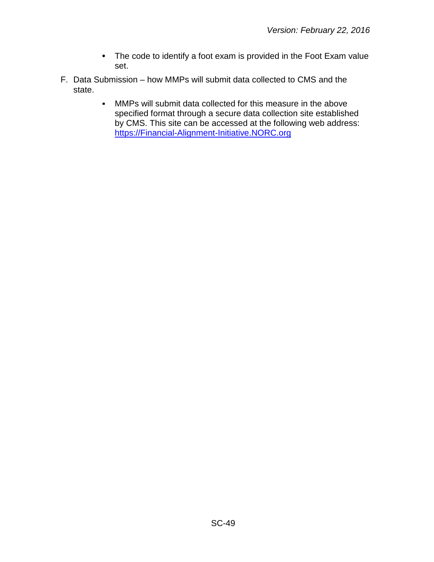- The code to identify a foot exam is provided in the Foot Exam value set.
- F. Data Submission how MMPs will submit data collected to CMS and the state.
	- MMPs will submit data collected for this measure in the above  $\bullet$ specified format through a secure data collection site established by CMS. This site can be accessed at the following web address: [https://Financial-Alignment-Initiative.NORC.org](https://financial-alignment-initiative.norc.org/)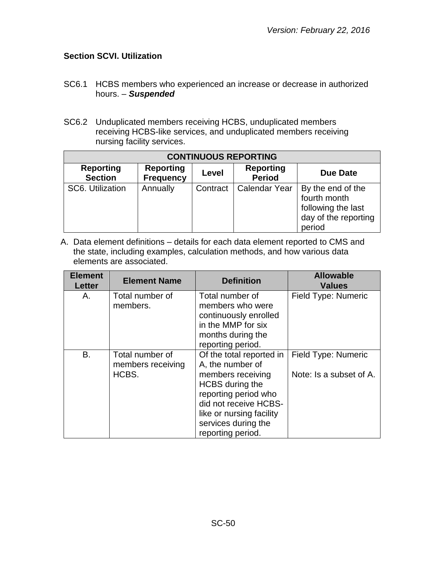# <span id="page-49-0"></span>**Section SCVI. Utilization**

- SC6.1 HCBS members who experienced an increase or decrease in authorized hours. – *Suspended*
- SC6.2 Unduplicated members receiving HCBS, unduplicated members receiving HCBS-like services, and unduplicated members receiving nursing facility services.

| <b>CONTINUOUS REPORTING</b>        |                                      |          |                                   |                                                                                           |
|------------------------------------|--------------------------------------|----------|-----------------------------------|-------------------------------------------------------------------------------------------|
| <b>Reporting</b><br><b>Section</b> | <b>Reporting</b><br><b>Frequency</b> | Level    | <b>Reporting</b><br><b>Period</b> | <b>Due Date</b>                                                                           |
| SC6. Utilization                   | Annually                             | Contract | <b>Calendar Year</b>              | By the end of the<br>fourth month<br>following the last<br>day of the reporting<br>period |

| <b>Element</b><br><b>Letter</b> | <b>Element Name</b>                           | <b>Definition</b>                                                                                                                                                                                                    | <b>Allowable</b><br><b>Values</b>              |
|---------------------------------|-----------------------------------------------|----------------------------------------------------------------------------------------------------------------------------------------------------------------------------------------------------------------------|------------------------------------------------|
| Α.                              | Total number of<br>members.                   | Total number of<br>members who were<br>continuously enrolled<br>in the MMP for six<br>months during the<br>reporting period.                                                                                         | Field Type: Numeric                            |
| B.                              | Total number of<br>members receiving<br>HCBS. | Of the total reported in<br>A, the number of<br>members receiving<br><b>HCBS</b> during the<br>reporting period who<br>did not receive HCBS-<br>like or nursing facility<br>services during the<br>reporting period. | Field Type: Numeric<br>Note: Is a subset of A. |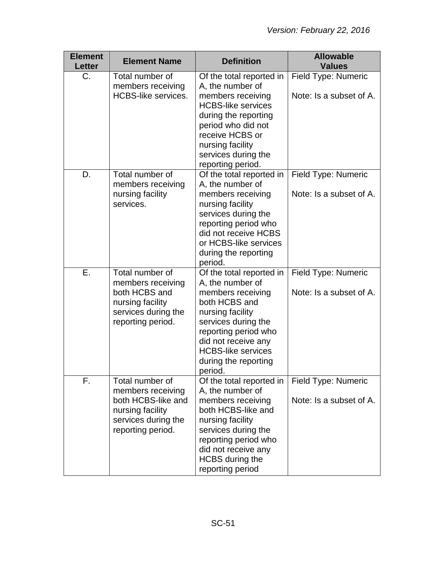| <b>Element</b><br><b>Letter</b> | <b>Element Name</b>                                                                                                        | <b>Definition</b>                                                                                                                                                                                                                            | <b>Allowable</b><br><b>Values</b>                     |
|---------------------------------|----------------------------------------------------------------------------------------------------------------------------|----------------------------------------------------------------------------------------------------------------------------------------------------------------------------------------------------------------------------------------------|-------------------------------------------------------|
| $C_{\cdot}$                     | Total number of<br>members receiving<br><b>HCBS-like services.</b>                                                         | Of the total reported in<br>A, the number of<br>members receiving<br><b>HCBS-like services</b><br>during the reporting<br>period who did not<br>receive HCBS or<br>nursing facility<br>services during the<br>reporting period.              | Field Type: Numeric<br>Note: Is a subset of A.        |
| D.                              | Total number of<br>members receiving<br>nursing facility<br>services.                                                      | Of the total reported in<br>A, the number of<br>members receiving<br>nursing facility<br>services during the<br>reporting period who<br>did not receive HCBS<br>or HCBS-like services<br>during the reporting<br>period.                     | Field Type: Numeric<br>Note: Is a subset of A.        |
| Ε.                              | Total number of<br>members receiving<br>both HCBS and<br>nursing facility<br>services during the<br>reporting period.      | Of the total reported in<br>A, the number of<br>members receiving<br>both HCBS and<br>nursing facility<br>services during the<br>reporting period who<br>did not receive any<br><b>HCBS-like services</b><br>during the reporting<br>period. | Field Type: Numeric<br>Note: Is a subset of A.        |
| F.                              | Total number of<br>members receiving<br>both HCBS-like and<br>nursing facility<br>services during the<br>reporting period. | Of the total reported in<br>A, the number of<br>members receiving<br>both HCBS-like and<br>nursing facility<br>services during the<br>reporting period who<br>did not receive any<br><b>HCBS</b> during the<br>reporting period              | <b>Field Type: Numeric</b><br>Note: Is a subset of A. |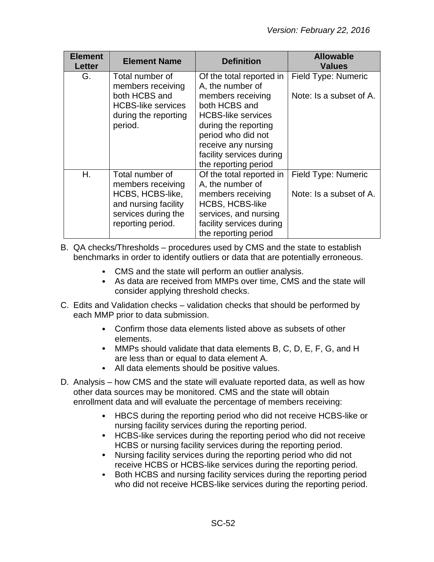| <b>Element</b><br>Letter | <b>Element Name</b>                                                                                                          | <b>Definition</b>                                                                                                                                                                                                | <b>Allowable</b><br><b>Values</b>              |
|--------------------------|------------------------------------------------------------------------------------------------------------------------------|------------------------------------------------------------------------------------------------------------------------------------------------------------------------------------------------------------------|------------------------------------------------|
| G.                       | Total number of<br>members receiving<br>both HCBS and<br><b>HCBS-like services</b><br>during the reporting<br>period.        | Of the total reported in<br>A, the number of<br>members receiving<br>both HCBS and<br><b>HCBS-like services</b><br>during the reporting<br>period who did not<br>receive any nursing<br>facility services during | Field Type: Numeric<br>Note: Is a subset of A. |
|                          |                                                                                                                              | the reporting period                                                                                                                                                                                             |                                                |
| Η.                       | Total number of<br>members receiving<br>HCBS, HCBS-like,<br>and nursing facility<br>services during the<br>reporting period. | Of the total reported in<br>A, the number of<br>members receiving<br><b>HCBS, HCBS-like</b><br>services, and nursing<br>facility services during<br>the reporting period                                         | Field Type: Numeric<br>Note: Is a subset of A. |

B. QA checks/Thresholds – procedures used by CMS and the state to establish benchmarks in order to identify outliers or data that are potentially erroneous.

- CMS and the state will perform an outlier analysis.
- As data are received from MMPs over time, CMS and the state will consider applying threshold checks.
- C. Edits and Validation checks validation checks that should be performed by each MMP prior to data submission.
	- Confirm those data elements listed above as subsets of other elements.
	- MMPs should validate that data elements B, C, D, E, F, G, and H are less than or equal to data element A.
	- All data elements should be positive values.
- D. Analysis how CMS and the state will evaluate reported data, as well as how other data sources may be monitored. CMS and the state will obtain enrollment data and will evaluate the percentage of members receiving:
	- HBCS during the reporting period who did not receive HCBS-like or nursing facility services during the reporting period.
	- HCBS-like services during the reporting period who did not receive  $\bullet$ HCBS or nursing facility services during the reporting period.
	- Nursing facility services during the reporting period who did not  $\bullet$ receive HCBS or HCBS-like services during the reporting period.
	- Both HCBS and nursing facility services during the reporting period  $\bullet$ who did not receive HCBS-like services during the reporting period.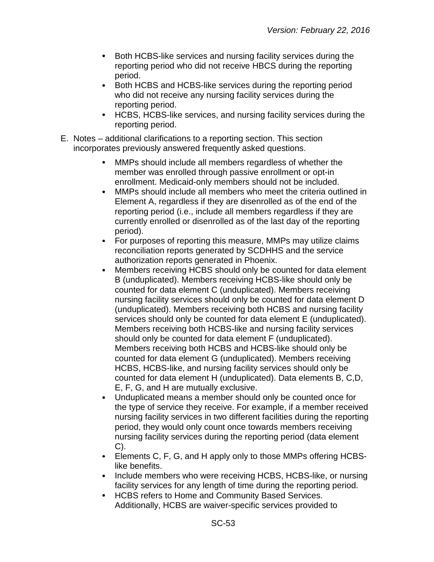- $\bullet$ Both HCBS-like services and nursing facility services during the reporting period who did not receive HBCS during the reporting period.
- $\bullet$ Both HCBS and HCBS-like services during the reporting period who did not receive any nursing facility services during the reporting period.
- HCBS, HCBS-like services, and nursing facility services during the  $\bullet$ reporting period.
- E. Notes additional clarifications to a reporting section. This section incorporates previously answered frequently asked questions.
	- MMPs should include all members regardless of whether the member was enrolled through passive enrollment or opt-in enrollment. Medicaid-only members should not be included.
	- $\bullet$ MMPs should include all members who meet the criteria outlined in Element A, regardless if they are disenrolled as of the end of the reporting period (i.e., include all members regardless if they are currently enrolled or disenrolled as of the last day of the reporting period).
	- For purposes of reporting this measure, MMPs may utilize claims  $\bullet$ reconciliation reports generated by SCDHHS and the service authorization reports generated in Phoenix.
	- Members receiving HCBS should only be counted for data element B (unduplicated). Members receiving HCBS-like should only be counted for data element C (unduplicated). Members receiving nursing facility services should only be counted for data element D (unduplicated). Members receiving both HCBS and nursing facility services should only be counted for data element E (unduplicated). Members receiving both HCBS-like and nursing facility services should only be counted for data element F (unduplicated). Members receiving both HCBS and HCBS-like should only be counted for data element G (unduplicated). Members receiving HCBS, HCBS-like, and nursing facility services should only be counted for data element H (unduplicated). Data elements B, C,D, E, F, G, and H are mutually exclusive.
	- Unduplicated means a member should only be counted once for the type of service they receive. For example, if a member received nursing facility services in two different facilities during the reporting period, they would only count once towards members receiving nursing facility services during the reporting period (data element C).
	- Elements C, F, G, and H apply only to those MMPs offering HCBS- $\bullet$ like benefits.
	- $\bullet$ Include members who were receiving HCBS, HCBS-like, or nursing facility services for any length of time during the reporting period.
	- HCBS refers to Home and Community Based Services.  $\bullet$ Additionally, HCBS are waiver-specific services provided to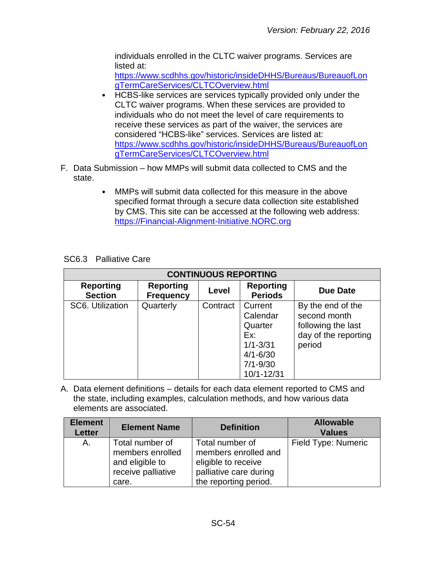individuals enrolled in the CLTC waiver programs. Services are listed at:

[https://www.scdhhs.gov/historic/insideDHHS/Bureaus/BureauofLon](https://www.scdhhs.gov/historic/insideDHHS/Bureaus/BureauofLongTermCareServices/CLTCOverview.html) [gTermCareServices/CLTCOverview.html](https://www.scdhhs.gov/historic/insideDHHS/Bureaus/BureauofLongTermCareServices/CLTCOverview.html)

- HCBS-like services are services typically provided only under the CLTC waiver programs. When these services are provided to individuals who do not meet the level of care requirements to receive these services as part of the waiver, the services are considered "HCBS-like" services. Services are listed at: [https://www.scdhhs.gov/historic/insideDHHS/Bureaus/BureauofLon](https://www.scdhhs.gov/historic/insideDHHS/Bureaus/BureauofLongTermCareServices/CLTCOverview.html) [gTermCareServices/CLTCOverview.html](https://www.scdhhs.gov/historic/insideDHHS/Bureaus/BureauofLongTermCareServices/CLTCOverview.html)
- F. Data Submission how MMPs will submit data collected to CMS and the state.
	- MMPs will submit data collected for this measure in the above  $\bullet$ specified format through a secure data collection site established by CMS. This site can be accessed at the following web address: [https://Financial-Alignment-Initiative.NORC.org](https://financial-alignment-initiative.norc.org/)

| <b>CONTINUOUS REPORTING</b>        |                                      |          |                                                                                                     |                                                                                           |  |
|------------------------------------|--------------------------------------|----------|-----------------------------------------------------------------------------------------------------|-------------------------------------------------------------------------------------------|--|
| <b>Reporting</b><br><b>Section</b> | <b>Reporting</b><br><b>Frequency</b> | Level    | <b>Reporting</b><br><b>Periods</b>                                                                  | <b>Due Date</b>                                                                           |  |
| SC6. Utilization                   | Quarterly                            | Contract | Current<br>Calendar<br>Quarter<br>Ex:<br>$1/1 - 3/31$<br>$4/1 - 6/30$<br>$7/1 - 9/30$<br>10/1-12/31 | By the end of the<br>second month<br>following the last<br>day of the reporting<br>period |  |

SC6.3 Palliative Care

| <b>Element</b><br><b>Letter</b> | <b>Element Name</b>                                                                   | <b>Definition</b>                                                                                                 | <b>Allowable</b><br><b>Values</b> |
|---------------------------------|---------------------------------------------------------------------------------------|-------------------------------------------------------------------------------------------------------------------|-----------------------------------|
| A.                              | Total number of<br>members enrolled<br>and eligible to<br>receive palliative<br>care. | Total number of<br>members enrolled and<br>eligible to receive<br>palliative care during<br>the reporting period. | Field Type: Numeric               |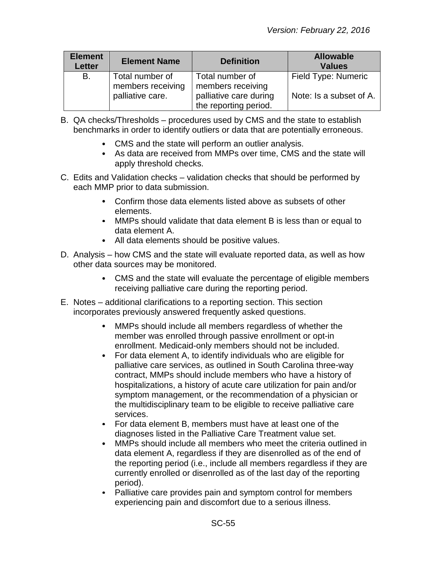| <b>Element</b><br><b>Letter</b> | <b>Element Name</b>                  | <b>Definition</b>                               | <b>Allowable</b><br><b>Values</b> |
|---------------------------------|--------------------------------------|-------------------------------------------------|-----------------------------------|
| B.                              | Total number of<br>members receiving | Total number of<br>members receiving            | Field Type: Numeric               |
|                                 | palliative care.                     | palliative care during<br>the reporting period. | Note: Is a subset of A.           |

- B. QA checks/Thresholds procedures used by CMS and the state to establish benchmarks in order to identify outliers or data that are potentially erroneous.
	- CMS and the state will perform an outlier analysis.
	- As data are received from MMPs over time, CMS and the state will apply threshold checks.
- C. Edits and Validation checks validation checks that should be performed by each MMP prior to data submission.
	- Confirm those data elements listed above as subsets of other elements.
	- MMPs should validate that data element B is less than or equal to data element A.
	- All data elements should be positive values.
- D. Analysis how CMS and the state will evaluate reported data, as well as how other data sources may be monitored.
	- CMS and the state will evaluate the percentage of eligible members receiving palliative care during the reporting period.
- E. Notes additional clarifications to a reporting section. This section incorporates previously answered frequently asked questions.
	- MMPs should include all members regardless of whether the member was enrolled through passive enrollment or opt-in enrollment. Medicaid-only members should not be included.
	- $\bullet$ For data element A, to identify individuals who are eligible for palliative care services, as outlined in South Carolina three-way contract, MMPs should include members who have a history of hospitalizations, a history of acute care utilization for pain and/or symptom management, or the recommendation of a physician or the multidisciplinary team to be eligible to receive palliative care services.
	- For data element B, members must have at least one of the diagnoses listed in the Palliative Care Treatment value set.
	- MMPs should include all members who meet the criteria outlined in  $\bullet$ data element A, regardless if they are disenrolled as of the end of the reporting period (i.e., include all members regardless if they are currently enrolled or disenrolled as of the last day of the reporting period).
	- Palliative care provides pain and symptom control for members experiencing pain and discomfort due to a serious illness.